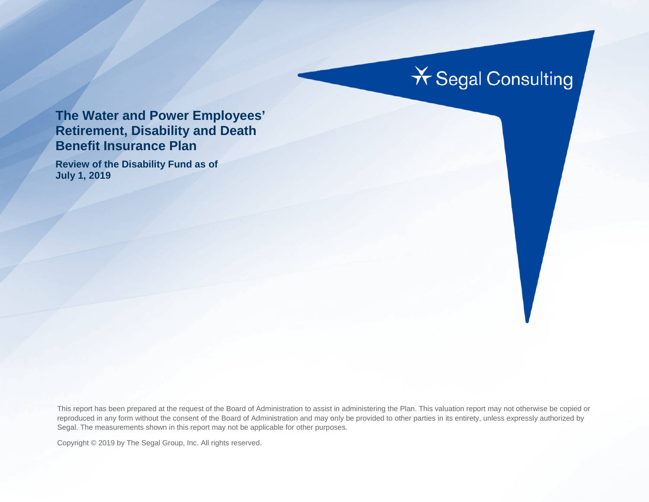# **X** Segal Consulting

#### **The Water and Power Employees' Retirement, Disability and Death Benefit Insurance Plan**

**Review of the Disability Fund as of July 1, 2019**

This report has been prepared at the request of the Board of Administration to assist in administering the Plan. This valuation report may not otherwise be copied or reproduced in any form without the consent of the Board of Administration and may only be provided to other parties in its entirety, unless expressly authorized by Segal. The measurements shown in this report may not be applicable for other purposes.

Copyright © 2019 by The Segal Group, Inc. All rights reserved.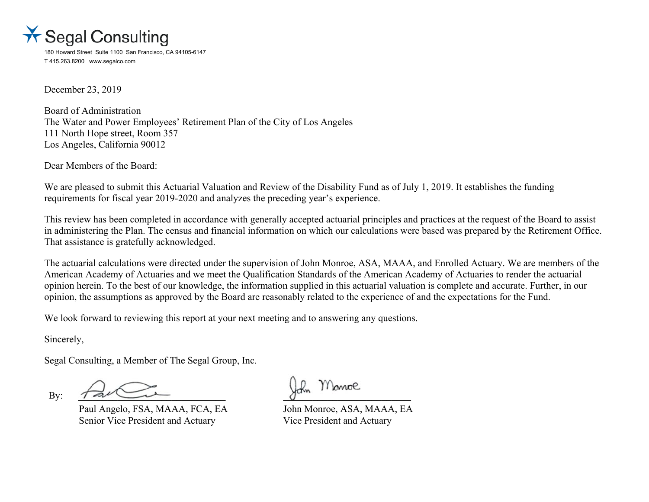

180 Howard Street Suite 1100 San Francisco, CA 94105-6147 T 415.263.8200 www.segalco.com

December 23, 2019

Board of Administration The Water and Power Employees' Retirement Plan of the City of Los Angeles 111 North Hope street, Room 357 Los Angeles, California 90012

Dear Members of the Board:

We are pleased to submit this Actuarial Valuation and Review of the Disability Fund as of July 1, 2019. It establishes the funding requirements for fiscal year 2019-2020 and analyzes the preceding year's experience.

This review has been completed in accordance with generally accepted actuarial principles and practices at the request of the Board to assist in administering the Plan. The census and financial information on which our calculations were based was prepared by the Retirement Office. That assistance is gratefully acknowledged.

The actuarial calculations were directed under the supervision of John Monroe, ASA, MAAA, and Enrolled Actuary. We are members of the American Academy of Actuaries and we meet the Qualification Standards of the American Academy of Actuaries to render the actuarial opinion herein. To the best of our knowledge, the information supplied in this actuarial valuation is complete and accurate. Further, in our opinion, the assumptions as approved by the Board are reasonably related to the experience of and the expectations for the Fund.

We look forward to reviewing this report at your next meeting and to answering any questions.

Sincerely,

Segal Consulting, a Member of The Segal Group, Inc.

 $B$ y:  $\tau$  and  $\tau$ 

Paul Angelo, FSA, MAAA, FCA, EA John Monroe, ASA, MAAA, EA Senior Vice President and Actuary Vice President and Actuary

Monroe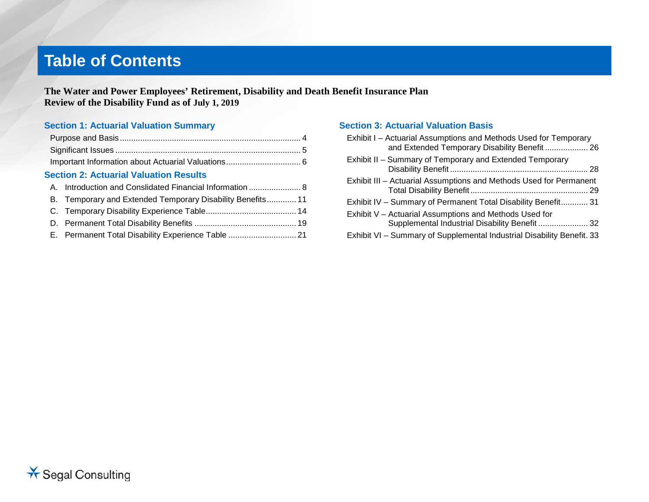# **Table of Contents**

**The Water and Power Employees' Retirement, Disability and Death Benefit Insurance Plan Review of the Disability Fund as of July 1, 2019**

#### **Section 1: Actuarial Valuation Summary**

| <b>Section 2: Actuarial Valuation Results</b>        |         |
|------------------------------------------------------|---------|
| A Introduction and Considerted Einengial Information | $\circ$ |

| B. Temporary and Extended Temporary Disability Benefits 11 |  |
|------------------------------------------------------------|--|
|                                                            |  |
|                                                            |  |
|                                                            |  |

E. Permanent Total Disability Experience Table .............................. 21

#### **Section 3: Actuarial Valuation Basis**

| Exhibit I - Actuarial Assumptions and Methods Used for Temporary<br>and Extended Temporary Disability Benefit  26 |
|-------------------------------------------------------------------------------------------------------------------|
| Exhibit II - Summary of Temporary and Extended Temporary                                                          |
| Exhibit III - Actuarial Assumptions and Methods Used for Permanent                                                |
| Exhibit IV - Summary of Permanent Total Disability Benefit 31                                                     |
| Exhibit V - Actuarial Assumptions and Methods Used for<br>Supplemental Industrial Disability Benefit  32          |
| Exhibit VI - Summary of Supplemental Industrial Disability Benefit. 33                                            |

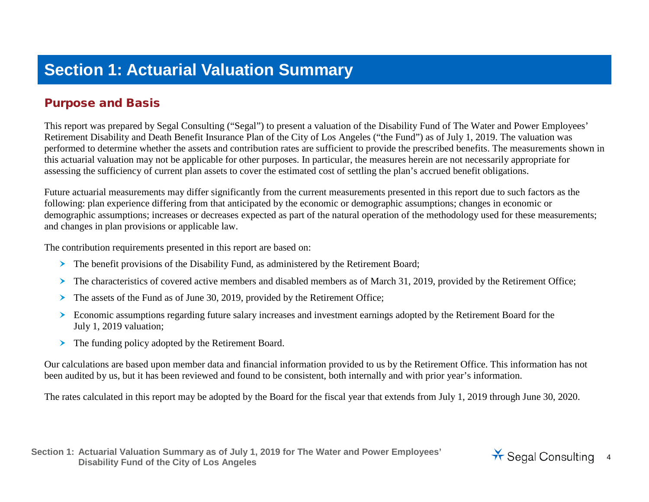## **Section 1: Actuarial Valuation Summary**

#### Purpose and Basis

This report was prepared by Segal Consulting ("Segal") to present a valuation of the Disability Fund of The Water and Power Employees' Retirement Disability and Death Benefit Insurance Plan of the City of Los Angeles ("the Fund") as of July 1, 2019. The valuation was performed to determine whether the assets and contribution rates are sufficient to provide the prescribed benefits. The measurements shown in this actuarial valuation may not be applicable for other purposes. In particular, the measures herein are not necessarily appropriate for assessing the sufficiency of current plan assets to cover the estimated cost of settling the plan's accrued benefit obligations.

Future actuarial measurements may differ significantly from the current measurements presented in this report due to such factors as the following: plan experience differing from that anticipated by the economic or demographic assumptions; changes in economic or demographic assumptions; increases or decreases expected as part of the natural operation of the methodology used for these measurements; and changes in plan provisions or applicable law.

The contribution requirements presented in this report are based on:

- The benefit provisions of the Disability Fund, as administered by the Retirement Board;
- The characteristics of covered active members and disabled members as of March 31, 2019, provided by the Retirement Office;
- $\triangleright$  The assets of the Fund as of June 30, 2019, provided by the Retirement Office;
- Economic assumptions regarding future salary increases and investment earnings adopted by the Retirement Board for the July 1, 2019 valuation;
- The funding policy adopted by the Retirement Board.

Our calculations are based upon member data and financial information provided to us by the Retirement Office. This information has not been audited by us, but it has been reviewed and found to be consistent, both internally and with prior year's information.

The rates calculated in this report may be adopted by the Board for the fiscal year that extends from July 1, 2019 through June 30, 2020.

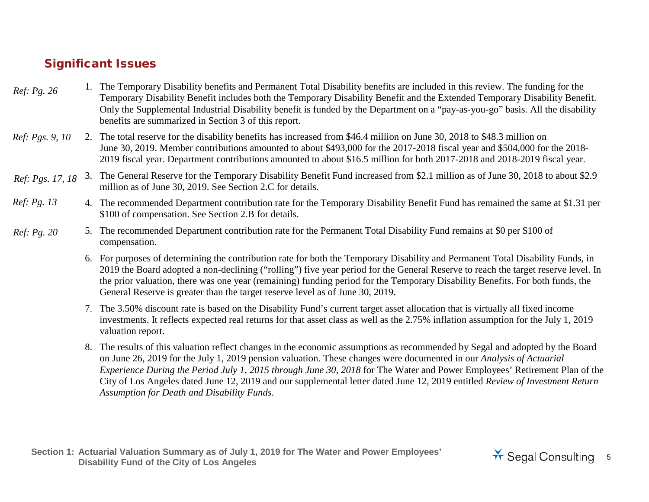#### Significant Issues

- 1. The Temporary Disability benefits and Permanent Total Disability benefits are included in this review. The funding for the Temporary Disability Benefit includes both the Temporary Disability Benefit and the Extended Temporary Disability Benefit. Only the Supplemental Industrial Disability benefit is funded by the Department on a "pay-as-you-go" basis. All the disability benefits are summarized in Section 3 of this report. *Ref: Pg. [26](#page-25-0)*
- 2. The total reserve for the disability benefits has increased from \$46.4 million on June 30, 2018 to \$48.3 million on June 30, 2019. Member contributions amounted to about \$493,000 for the 2017-2018 fiscal year and \$504,000 for the 2018- 2019 fiscal year. Department contributions amounted to about \$16.5 million for both 2017-2018 and 2018-2019 fiscal year. *Ref: Pgs. [9,](#page-8-0) [10](#page-9-0)*
- Ref: Pgs. 17, 18 3. The General Reserve for the Temporary Disability Benefit Fund increased from \$2.1 million as of June 30, 2018 to about \$2.9 million as of June 30, 2019. See Section 2.C for details.
- 4. The recommended Department contribution rate for the Temporary Disability Benefit Fund has remained the same at \$1.31 per \$100 of compensation. See Section 2.B for details. *Ref: Pg. [13](#page-12-0)*
- 5. The recommended Department contribution rate for the Permanent Total Disability Fund remains at \$0 per \$100 of compensation. *Ref: Pg. [20](#page-19-0)*
	- 6. For purposes of determining the contribution rate for both the Temporary Disability and Permanent Total Disability Funds, in 2019 the Board adopted a non-declining ("rolling") five year period for the General Reserve to reach the target reserve level. In the prior valuation, there was one year (remaining) funding period for the Temporary Disability Benefits. For both funds, the General Reserve is greater than the target reserve level as of June 30, 2019.
	- 7. The 3.50% discount rate is based on the Disability Fund's current target asset allocation that is virtually all fixed income investments. It reflects expected real returns for that asset class as well as the 2.75% inflation assumption for the July 1, 2019 valuation report.
	- 8. The results of this valuation reflect changes in the economic assumptions as recommended by Segal and adopted by the Board on June 26, 2019 for the July 1, 2019 pension valuation. These changes were documented in our *Analysis of Actuarial Experience During the Period July 1, 2015 through June 30, 2018* for The Water and Power Employees' Retirement Plan of the City of Los Angeles dated June 12, 2019 and our supplemental letter dated June 12, 2019 entitled *Review of Investment Return Assumption for Death and Disability Funds*.

**Section 1: Actuarial Valuation Summary as of July 1, 2019 for The Water and Power Employees'**  Actuarial Valuation Summary as of July 1, 2019 for the Water and Power Employees<sup>2</sup> **1998 of Seminary 1998** Segal Consulting 5

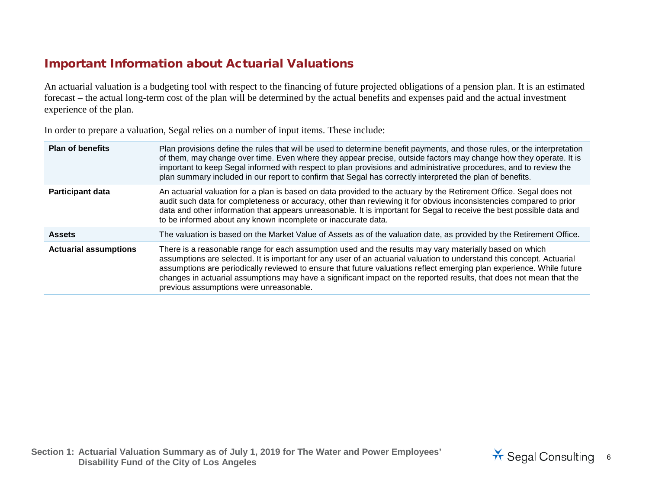#### Important Information about Actuarial Valuations

An actuarial valuation is a budgeting tool with respect to the financing of future projected obligations of a pension plan. It is an estimated forecast – the actual long-term cost of the plan will be determined by the actual benefits and expenses paid and the actual investment experience of the plan.

In order to prepare a valuation, Segal relies on a number of input items. These include:

| <b>Plan of benefits</b>      | Plan provisions define the rules that will be used to determine benefit payments, and those rules, or the interpretation<br>of them, may change over time. Even where they appear precise, outside factors may change how they operate. It is<br>important to keep Segal informed with respect to plan provisions and administrative procedures, and to review the<br>plan summary included in our report to confirm that Segal has correctly interpreted the plan of benefits.                                              |
|------------------------------|------------------------------------------------------------------------------------------------------------------------------------------------------------------------------------------------------------------------------------------------------------------------------------------------------------------------------------------------------------------------------------------------------------------------------------------------------------------------------------------------------------------------------|
| <b>Participant data</b>      | An actuarial valuation for a plan is based on data provided to the actuary by the Retirement Office. Segal does not<br>audit such data for completeness or accuracy, other than reviewing it for obvious inconsistencies compared to prior<br>data and other information that appears unreasonable. It is important for Segal to receive the best possible data and<br>to be informed about any known incomplete or inaccurate data.                                                                                         |
| <b>Assets</b>                | The valuation is based on the Market Value of Assets as of the valuation date, as provided by the Retirement Office.                                                                                                                                                                                                                                                                                                                                                                                                         |
| <b>Actuarial assumptions</b> | There is a reasonable range for each assumption used and the results may vary materially based on which<br>assumptions are selected. It is important for any user of an actuarial valuation to understand this concept. Actuarial<br>assumptions are periodically reviewed to ensure that future valuations reflect emerging plan experience. While future<br>changes in actuarial assumptions may have a significant impact on the reported results, that does not mean that the<br>previous assumptions were unreasonable. |

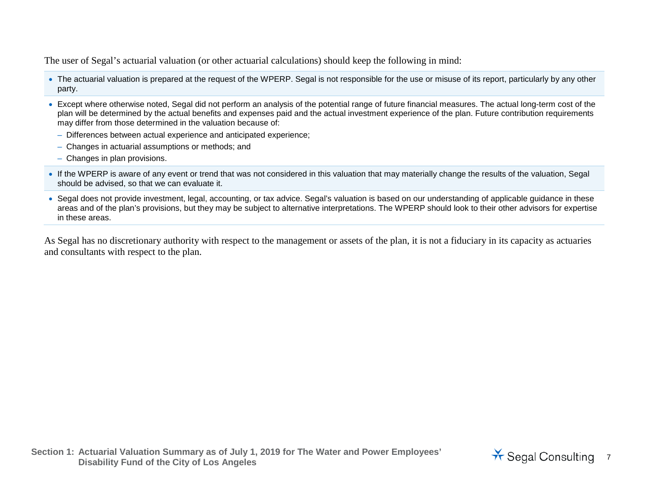The user of Segal's actuarial valuation (or other actuarial calculations) should keep the following in mind:

- The actuarial valuation is prepared at the request of the WPERP. Segal is not responsible for the use or misuse of its report, particularly by any other party.
- Except where otherwise noted, Segal did not perform an analysis of the potential range of future financial measures. The actual long-term cost of the plan will be determined by the actual benefits and expenses paid and the actual investment experience of the plan. Future contribution requirements may differ from those determined in the valuation because of:
	- Differences between actual experience and anticipated experience;
	- Changes in actuarial assumptions or methods; and
	- Changes in plan provisions.
- If the WPERP is aware of any event or trend that was not considered in this valuation that may materially change the results of the valuation, Segal should be advised, so that we can evaluate it.
- Segal does not provide investment, legal, accounting, or tax advice. Segal's valuation is based on our understanding of applicable guidance in these areas and of the plan's provisions, but they may be subject to alternative interpretations. The WPERP should look to their other advisors for expertise in these areas.

As Segal has no discretionary authority with respect to the management or assets of the plan, it is not a fiduciary in its capacity as actuaries and consultants with respect to the plan.

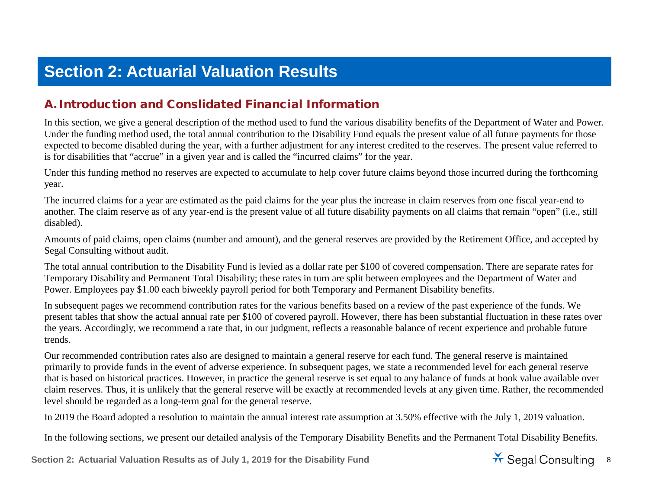# **Section 2: Actuarial Valuation Results**

#### A.Introduction and Conslidated Financial Information

In this section, we give a general description of the method used to fund the various disability benefits of the Department of Water and Power. Under the funding method used, the total annual contribution to the Disability Fund equals the present value of all future payments for those expected to become disabled during the year, with a further adjustment for any interest credited to the reserves. The present value referred to is for disabilities that "accrue" in a given year and is called the "incurred claims" for the year.

Under this funding method no reserves are expected to accumulate to help cover future claims beyond those incurred during the forthcoming year.

The incurred claims for a year are estimated as the paid claims for the year plus the increase in claim reserves from one fiscal year-end to another. The claim reserve as of any year-end is the present value of all future disability payments on all claims that remain "open" (i.e., still disabled).

Amounts of paid claims, open claims (number and amount), and the general reserves are provided by the Retirement Office, and accepted by Segal Consulting without audit.

The total annual contribution to the Disability Fund is levied as a dollar rate per \$100 of covered compensation. There are separate rates for Temporary Disability and Permanent Total Disability; these rates in turn are split between employees and the Department of Water and Power. Employees pay \$1.00 each biweekly payroll period for both Temporary and Permanent Disability benefits.

In subsequent pages we recommend contribution rates for the various benefits based on a review of the past experience of the funds. We present tables that show the actual annual rate per \$100 of covered payroll. However, there has been substantial fluctuation in these rates over the years. Accordingly, we recommend a rate that, in our judgment, reflects a reasonable balance of recent experience and probable future trends.

Our recommended contribution rates also are designed to maintain a general reserve for each fund. The general reserve is maintained primarily to provide funds in the event of adverse experience. In subsequent pages, we state a recommended level for each general reserve that is based on historical practices. However, in practice the general reserve is set equal to any balance of funds at book value available over claim reserves. Thus, it is unlikely that the general reserve will be exactly at recommended levels at any given time. Rather, the recommended level should be regarded as a long-term goal for the general reserve.

In 2019 the Board adopted a resolution to maintain the annual interest rate assumption at 3.50% effective with the July 1, 2019 valuation.

In the following sections, we present our detailed analysis of the Temporary Disability Benefits and the Permanent Total Disability Benefits.

Section 2: Actuarial Valuation Results as of July 1, 2019 for the Disability Fund<br>
Section 2: Actuarial Valuation Results as of July 1, 2019 for the Disability Fund

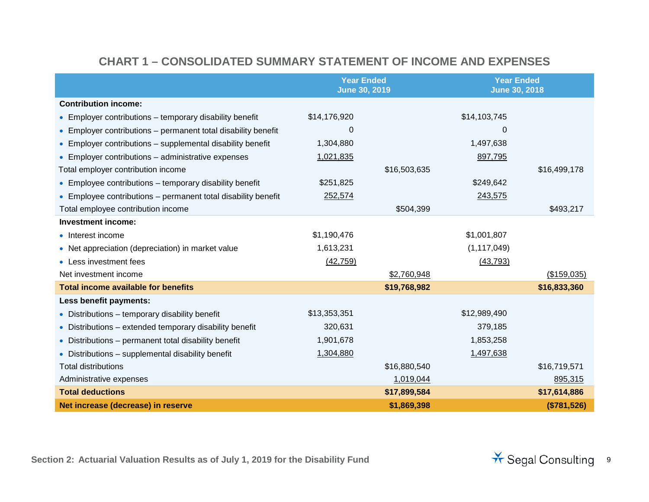#### **CHART 1 – CONSOLIDATED SUMMARY STATEMENT OF INCOME AND EXPENSES**

<span id="page-8-0"></span>

|                                                               | <b>Year Ended</b><br><b>June 30, 2019</b> |              | <b>Year Ended</b><br><b>June 30, 2018</b> |              |
|---------------------------------------------------------------|-------------------------------------------|--------------|-------------------------------------------|--------------|
| <b>Contribution income:</b>                                   |                                           |              |                                           |              |
| • Employer contributions – temporary disability benefit       | \$14,176,920                              |              | \$14,103,745                              |              |
| • Employer contributions – permanent total disability benefit | 0                                         |              | 0                                         |              |
| • Employer contributions - supplemental disability benefit    | 1,304,880                                 |              | 1,497,638                                 |              |
| • Employer contributions – administrative expenses            | 1,021,835                                 |              | 897,795                                   |              |
| Total employer contribution income                            |                                           | \$16,503,635 |                                           | \$16,499,178 |
| • Employee contributions – temporary disability benefit       | \$251,825                                 |              | \$249,642                                 |              |
| • Employee contributions - permanent total disability benefit | 252,574                                   |              | 243,575                                   |              |
| Total employee contribution income                            |                                           | \$504,399    |                                           | \$493,217    |
| <b>Investment income:</b>                                     |                                           |              |                                           |              |
| • Interest income                                             | \$1,190,476                               |              | \$1,001,807                               |              |
| • Net appreciation (depreciation) in market value             | 1,613,231                                 |              | (1, 117, 049)                             |              |
| • Less investment fees                                        | (42, 759)                                 |              | (43, 793)                                 |              |
| Net investment income                                         |                                           | \$2,760,948  |                                           | (\$159,035)  |
| <b>Total income available for benefits</b>                    |                                           | \$19,768,982 |                                           | \$16,833,360 |
| Less benefit payments:                                        |                                           |              |                                           |              |
| • Distributions – temporary disability benefit                | \$13,353,351                              |              | \$12,989,490                              |              |
| • Distributions – extended temporary disability benefit       | 320,631                                   |              | 379,185                                   |              |
| • Distributions - permanent total disability benefit          | 1,901,678                                 |              | 1,853,258                                 |              |
| • Distributions – supplemental disability benefit             | 1,304,880                                 |              | 1,497,638                                 |              |
| <b>Total distributions</b>                                    |                                           | \$16,880,540 |                                           | \$16,719,571 |
| Administrative expenses                                       |                                           | 1,019,044    |                                           | 895,315      |
| <b>Total deductions</b>                                       |                                           | \$17,899,584 |                                           | \$17,614,886 |
| Net increase (decrease) in reserve                            |                                           | \$1,869,398  |                                           | (\$781,526)  |

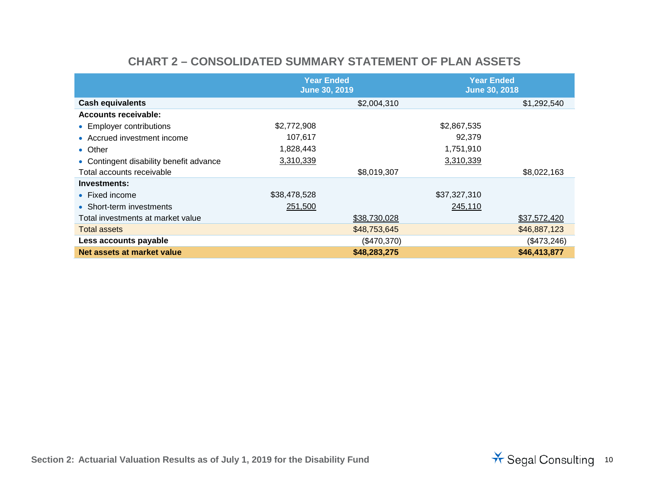<span id="page-9-0"></span>

|                                         | <b>Year Ended</b><br><b>June 30, 2019</b> |              | <b>Year Ended</b><br><b>June 30, 2018</b> |              |
|-----------------------------------------|-------------------------------------------|--------------|-------------------------------------------|--------------|
| <b>Cash equivalents</b>                 |                                           | \$2,004,310  |                                           | \$1,292,540  |
| <b>Accounts receivable:</b>             |                                           |              |                                           |              |
| • Employer contributions                | \$2,772,908                               |              | \$2,867,535                               |              |
| • Accrued investment income             | 107,617                                   |              | 92,379                                    |              |
| • Other                                 | 1,828,443                                 |              | 1,751,910                                 |              |
| • Contingent disability benefit advance | 3,310,339                                 |              | 3,310,339                                 |              |
| Total accounts receivable               |                                           | \$8,019,307  |                                           | \$8,022,163  |
| Investments:                            |                                           |              |                                           |              |
| $\bullet$ Fixed income                  | \$38,478,528                              |              | \$37,327,310                              |              |
| • Short-term investments                | 251,500                                   |              | 245,110                                   |              |
| Total investments at market value       |                                           | \$38,730,028 |                                           | \$37,572,420 |
| <b>Total assets</b>                     |                                           | \$48,753,645 |                                           | \$46,887,123 |
| Less accounts payable                   |                                           | (\$470,370)  |                                           | (\$473,246)  |
| Net assets at market value              |                                           | \$48,283,275 |                                           | \$46,413,877 |

#### **CHART 2 – CONSOLIDATED SUMMARY STATEMENT OF PLAN ASSETS**

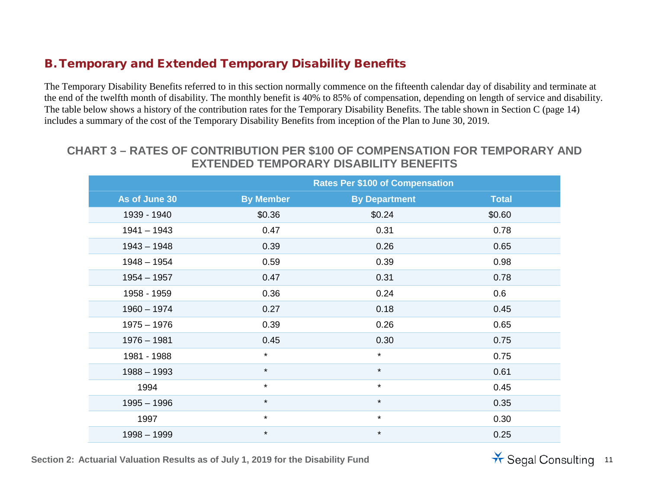#### B. Temporary and Extended Temporary Disability Benefits

The Temporary Disability Benefits referred to in this section normally commence on the fifteenth calendar day of disability and terminate at the end of the twelfth month of disability. The monthly benefit is 40% to 85% of compensation, depending on length of service and disability. The table below shows a history of the contribution rates for the Temporary Disability Benefits. The table shown in Section C (page 14) includes a summary of the cost of the Temporary Disability Benefits from inception of the Plan to June 30, 2019.

#### **CHART 3 – RATES OF CONTRIBUTION PER \$100 OF COMPENSATION FOR TEMPORARY AND EXTENDED TEMPORARY DISABILITY BENEFITS**

|               | <b>Rates Per \$100 of Compensation</b> |                      |              |  |  |
|---------------|----------------------------------------|----------------------|--------------|--|--|
| As of June 30 | <b>By Member</b>                       | <b>By Department</b> | <b>Total</b> |  |  |
| 1939 - 1940   | \$0.36                                 | \$0.24               | \$0.60       |  |  |
| $1941 - 1943$ | 0.47                                   | 0.31                 | 0.78         |  |  |
| $1943 - 1948$ | 0.39                                   | 0.26                 | 0.65         |  |  |
| $1948 - 1954$ | 0.59                                   | 0.39                 | 0.98         |  |  |
| $1954 - 1957$ | 0.47                                   | 0.31                 | 0.78         |  |  |
| 1958 - 1959   | 0.36                                   | 0.24                 | 0.6          |  |  |
| $1960 - 1974$ | 0.27                                   | 0.18                 | 0.45         |  |  |
| $1975 - 1976$ | 0.39                                   | 0.26                 | 0.65         |  |  |
| $1976 - 1981$ | 0.45                                   | 0.30                 | 0.75         |  |  |
| 1981 - 1988   | $\star$                                | $\star$              | 0.75         |  |  |
| $1988 - 1993$ | $\star$                                | $\star$              | 0.61         |  |  |
| 1994          | $\star$                                | $\star$              | 0.45         |  |  |
| $1995 - 1996$ | $\star$                                | $\star$              | 0.35         |  |  |
| 1997          | $\star$                                | $\star$              | 0.30         |  |  |
| $1998 - 1999$ | $\star$                                | $\star$              | 0.25         |  |  |

Section 2: Actuarial Valuation Results as of July 1, 2019 for the Disability Fund<br>
Section 2: Actuarial Valuation Results as of July 1, 2019 for the Disability Fund

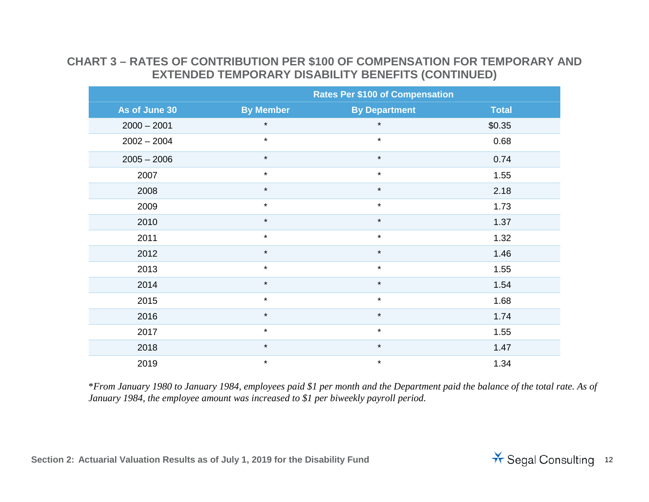#### **CHART 3 – RATES OF CONTRIBUTION PER \$100 OF COMPENSATION FOR TEMPORARY AND EXTENDED TEMPORARY DISABILITY BENEFITS (CONTINUED)**

|               | <b>Rates Per \$100 of Compensation</b> |                      |              |  |  |
|---------------|----------------------------------------|----------------------|--------------|--|--|
| As of June 30 | <b>By Member</b>                       | <b>By Department</b> | <b>Total</b> |  |  |
| $2000 - 2001$ | $\star$                                | $\star$              | \$0.35       |  |  |
| $2002 - 2004$ | $\star$                                | $\star$              | 0.68         |  |  |
| $2005 - 2006$ | $\star$                                | $\star$              | 0.74         |  |  |
| 2007          | $\star$                                | $\star$              | 1.55         |  |  |
| 2008          | $\star$                                | $\star$              | 2.18         |  |  |
| 2009          | $\star$                                | $\star$              | 1.73         |  |  |
| 2010          | $\star$                                | $\star$              | 1.37         |  |  |
| 2011          | $\star$                                | $\star$              | 1.32         |  |  |
| 2012          | $\star$                                | $\star$              | 1.46         |  |  |
| 2013          | $\star$                                | $\star$              | 1.55         |  |  |
| 2014          | $\star$                                | $\star$              | 1.54         |  |  |
| 2015          | $\star$                                | $\star$              | 1.68         |  |  |
| 2016          | $\star$                                | $\star$              | 1.74         |  |  |
| 2017          | $\star$                                | $\star$              | 1.55         |  |  |
| 2018          | $\star$                                | $\star$              | 1.47         |  |  |
| 2019          | $\star$                                | $\star$              | 1.34         |  |  |

\**From January 1980 to January 1984, employees paid \$1 per month and the Department paid the balance of the total rate. As of January 1984, the employee amount was increased to \$1 per biweekly payroll period.*

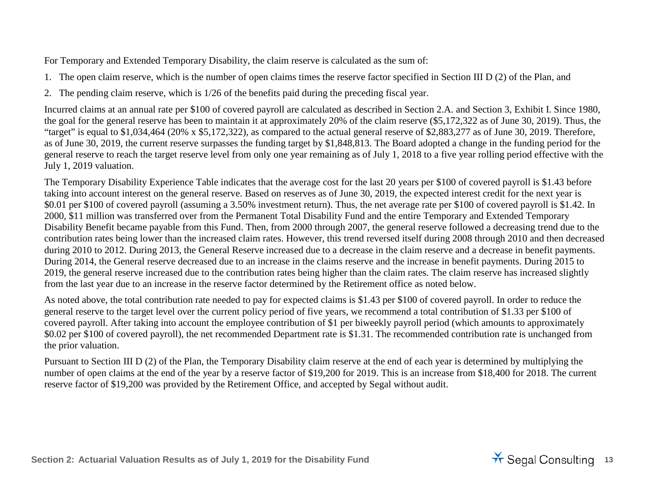<span id="page-12-0"></span>For Temporary and Extended Temporary Disability, the claim reserve is calculated as the sum of:

1. The open claim reserve, which is the number of open claims times the reserve factor specified in Section III D (2) of the Plan, and

2. The pending claim reserve, which is 1/26 of the benefits paid during the preceding fiscal year.

Incurred claims at an annual rate per \$100 of covered payroll are calculated as described in Section 2.A. and Section 3, Exhibit I. Since 1980, the goal for the general reserve has been to maintain it at approximately 20% of the claim reserve (\$5,172,322 as of June 30, 2019). Thus, the "target" is equal to \$1,034,464 (20% x \$5,172,322), as compared to the actual general reserve of \$2,883,277 as of June 30, 2019. Therefore, as of June 30, 2019, the current reserve surpasses the funding target by \$1,848,813. The Board adopted a change in the funding period for the general reserve to reach the target reserve level from only one year remaining as of July 1, 2018 to a five year rolling period effective with the July 1, 2019 valuation.

The Temporary Disability Experience Table indicates that the average cost for the last 20 years per \$100 of covered payroll is \$1.43 before taking into account interest on the general reserve. Based on reserves as of June 30, 2019, the expected interest credit for the next year is \$0.01 per \$100 of covered payroll (assuming a 3.50% investment return). Thus, the net average rate per \$100 of covered payroll is \$1.42. In 2000, \$11 million was transferred over from the Permanent Total Disability Fund and the entire Temporary and Extended Temporary Disability Benefit became payable from this Fund. Then, from 2000 through 2007, the general reserve followed a decreasing trend due to the contribution rates being lower than the increased claim rates. However, this trend reversed itself during 2008 through 2010 and then decreased during 2010 to 2012. During 2013, the General Reserve increased due to a decrease in the claim reserve and a decrease in benefit payments. During 2014, the General reserve decreased due to an increase in the claims reserve and the increase in benefit payments. During 2015 to 2019, the general reserve increased due to the contribution rates being higher than the claim rates. The claim reserve has increased slightly from the last year due to an increase in the reserve factor determined by the Retirement office as noted below.

As noted above, the total contribution rate needed to pay for expected claims is \$1.43 per \$100 of covered payroll. In order to reduce the general reserve to the target level over the current policy period of five years, we recommend a total contribution of \$1.33 per \$100 of covered payroll. After taking into account the employee contribution of \$1 per biweekly payroll period (which amounts to approximately \$0.02 per \$100 of covered payroll), the net recommended Department rate is \$1.31. The recommended contribution rate is unchanged from the prior valuation.

Pursuant to Section III D (2) of the Plan, the Temporary Disability claim reserve at the end of each year is determined by multiplying the number of open claims at the end of the year by a reserve factor of \$19,200 for 2019. This is an increase from \$18,400 for 2018. The current reserve factor of \$19,200 was provided by the Retirement Office, and accepted by Segal without audit.

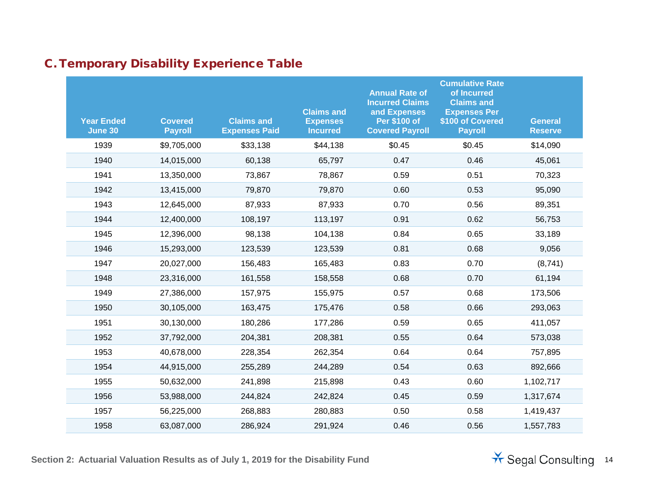|  | <b>C. Temporary Disability Experience Table</b> |  |
|--|-------------------------------------------------|--|
|  |                                                 |  |

| <b>Year Ended</b><br>June 30 | <b>Covered</b><br><b>Payroll</b> | <b>Claims and</b><br><b>Expenses Paid</b> | <b>Claims and</b><br><b>Expenses</b><br><b>Incurred</b> | <b>Annual Rate of</b><br><b>Incurred Claims</b><br>and Expenses<br><b>Per \$100 of</b><br><b>Covered Payroll</b> | <b>Cumulative Rate</b><br>of Incurred<br><b>Claims and</b><br><b>Expenses Per</b><br>\$100 of Covered<br><b>Payroll</b> | <b>General</b><br><b>Reserve</b> |
|------------------------------|----------------------------------|-------------------------------------------|---------------------------------------------------------|------------------------------------------------------------------------------------------------------------------|-------------------------------------------------------------------------------------------------------------------------|----------------------------------|
| 1939                         | \$9,705,000                      | \$33,138                                  | \$44,138                                                | \$0.45                                                                                                           | \$0.45                                                                                                                  | \$14,090                         |
| 1940                         | 14,015,000                       | 60,138                                    | 65,797                                                  | 0.47                                                                                                             | 0.46                                                                                                                    | 45,061                           |
| 1941                         | 13,350,000                       | 73,867                                    | 78,867                                                  | 0.59                                                                                                             | 0.51                                                                                                                    | 70,323                           |
| 1942                         | 13,415,000                       | 79,870                                    | 79,870                                                  | 0.60                                                                                                             | 0.53                                                                                                                    | 95,090                           |
| 1943                         | 12,645,000                       | 87,933                                    | 87,933                                                  | 0.70                                                                                                             | 0.56                                                                                                                    | 89,351                           |
| 1944                         | 12,400,000                       | 108,197                                   | 113,197                                                 | 0.91                                                                                                             | 0.62                                                                                                                    | 56,753                           |
| 1945                         | 12,396,000                       | 98,138                                    | 104,138                                                 | 0.84                                                                                                             | 0.65                                                                                                                    | 33,189                           |
| 1946                         | 15,293,000                       | 123,539                                   | 123,539                                                 | 0.81                                                                                                             | 0.68                                                                                                                    | 9,056                            |
| 1947                         | 20,027,000                       | 156,483                                   | 165,483                                                 | 0.83                                                                                                             | 0.70                                                                                                                    | (8,741)                          |
| 1948                         | 23,316,000                       | 161,558                                   | 158,558                                                 | 0.68                                                                                                             | 0.70                                                                                                                    | 61,194                           |
| 1949                         | 27,386,000                       | 157,975                                   | 155,975                                                 | 0.57                                                                                                             | 0.68                                                                                                                    | 173,506                          |
| 1950                         | 30,105,000                       | 163,475                                   | 175,476                                                 | 0.58                                                                                                             | 0.66                                                                                                                    | 293,063                          |
| 1951                         | 30,130,000                       | 180,286                                   | 177,286                                                 | 0.59                                                                                                             | 0.65                                                                                                                    | 411,057                          |
| 1952                         | 37,792,000                       | 204,381                                   | 208,381                                                 | 0.55                                                                                                             | 0.64                                                                                                                    | 573,038                          |
| 1953                         | 40,678,000                       | 228,354                                   | 262,354                                                 | 0.64                                                                                                             | 0.64                                                                                                                    | 757,895                          |
| 1954                         | 44,915,000                       | 255,289                                   | 244,289                                                 | 0.54                                                                                                             | 0.63                                                                                                                    | 892,666                          |
| 1955                         | 50,632,000                       | 241,898                                   | 215,898                                                 | 0.43                                                                                                             | 0.60                                                                                                                    | 1,102,717                        |
| 1956                         | 53,988,000                       | 244,824                                   | 242,824                                                 | 0.45                                                                                                             | 0.59                                                                                                                    | 1,317,674                        |
| 1957                         | 56,225,000                       | 268,883                                   | 280,883                                                 | 0.50                                                                                                             | 0.58                                                                                                                    | 1,419,437                        |
| 1958                         | 63,087,000                       | 286,924                                   | 291,924                                                 | 0.46                                                                                                             | 0.56                                                                                                                    | 1,557,783                        |

**Section 2: Actuarial Valuation Results as of July 1, 2019 for the Disability Fund 14 Consulting 14 Consulting 14** 

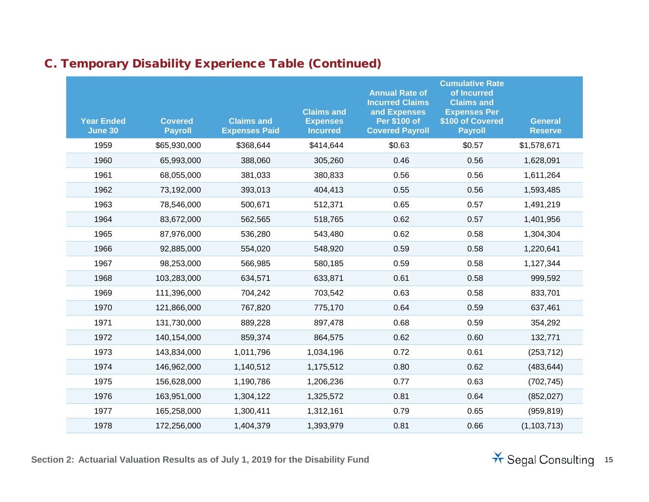| <b>Year Ended</b><br><b>June 30</b> | <b>Covered</b><br><b>Payroll</b> | <b>Claims and</b><br><b>Expenses Paid</b> | <b>Claims and</b><br><b>Expenses</b><br><b>Incurred</b> | <b>Annual Rate of</b><br><b>Incurred Claims</b><br>and Expenses<br>Per \$100 of<br><b>Covered Payroll</b> | <b>Cumulative Rate</b><br>of Incurred<br><b>Claims and</b><br><b>Expenses Per</b><br>\$100 of Covered<br><b>Payroll</b> | <b>General</b><br><b>Reserve</b> |
|-------------------------------------|----------------------------------|-------------------------------------------|---------------------------------------------------------|-----------------------------------------------------------------------------------------------------------|-------------------------------------------------------------------------------------------------------------------------|----------------------------------|
| 1959                                | \$65,930,000                     | \$368,644                                 | \$414,644                                               | \$0.63                                                                                                    | \$0.57                                                                                                                  | \$1,578,671                      |
| 1960                                | 65,993,000                       | 388,060                                   | 305,260                                                 | 0.46                                                                                                      | 0.56                                                                                                                    | 1,628,091                        |
| 1961                                | 68,055,000                       | 381,033                                   | 380,833                                                 | 0.56                                                                                                      | 0.56                                                                                                                    | 1,611,264                        |
| 1962                                | 73,192,000                       | 393,013                                   | 404,413                                                 | 0.55                                                                                                      | 0.56                                                                                                                    | 1,593,485                        |
| 1963                                | 78,546,000                       | 500,671                                   | 512,371                                                 | 0.65                                                                                                      | 0.57                                                                                                                    | 1,491,219                        |
| 1964                                | 83,672,000                       | 562,565                                   | 518,765                                                 | 0.62                                                                                                      | 0.57                                                                                                                    | 1,401,956                        |
| 1965                                | 87,976,000                       | 536,280                                   | 543,480                                                 | 0.62                                                                                                      | 0.58                                                                                                                    | 1,304,304                        |
| 1966                                | 92,885,000                       | 554,020                                   | 548,920                                                 | 0.59                                                                                                      | 0.58                                                                                                                    | 1,220,641                        |
| 1967                                | 98,253,000                       | 566,985                                   | 580,185                                                 | 0.59                                                                                                      | 0.58                                                                                                                    | 1,127,344                        |
| 1968                                | 103,283,000                      | 634,571                                   | 633,871                                                 | 0.61                                                                                                      | 0.58                                                                                                                    | 999,592                          |
| 1969                                | 111,396,000                      | 704,242                                   | 703,542                                                 | 0.63                                                                                                      | 0.58                                                                                                                    | 833,701                          |
| 1970                                | 121,866,000                      | 767,820                                   | 775,170                                                 | 0.64                                                                                                      | 0.59                                                                                                                    | 637,461                          |
| 1971                                | 131,730,000                      | 889,228                                   | 897,478                                                 | 0.68                                                                                                      | 0.59                                                                                                                    | 354,292                          |
| 1972                                | 140,154,000                      | 859,374                                   | 864,575                                                 | 0.62                                                                                                      | 0.60                                                                                                                    | 132,771                          |
| 1973                                | 143,834,000                      | 1,011,796                                 | 1,034,196                                               | 0.72                                                                                                      | 0.61                                                                                                                    | (253, 712)                       |
| 1974                                | 146,962,000                      | 1,140,512                                 | 1,175,512                                               | 0.80                                                                                                      | 0.62                                                                                                                    | (483, 644)                       |
| 1975                                | 156,628,000                      | 1,190,786                                 | 1,206,236                                               | 0.77                                                                                                      | 0.63                                                                                                                    | (702, 745)                       |
| 1976                                | 163,951,000                      | 1,304,122                                 | 1,325,572                                               | 0.81                                                                                                      | 0.64                                                                                                                    | (852, 027)                       |
| 1977                                | 165,258,000                      | 1,300,411                                 | 1,312,161                                               | 0.79                                                                                                      | 0.65                                                                                                                    | (959, 819)                       |
| 1978                                | 172,256,000                      | 1,404,379                                 | 1,393,979                                               | 0.81                                                                                                      | 0.66                                                                                                                    | (1, 103, 713)                    |

**Section 2: Actuarial Valuation Results as of July 1, 2019 for the Disability Fund** 15

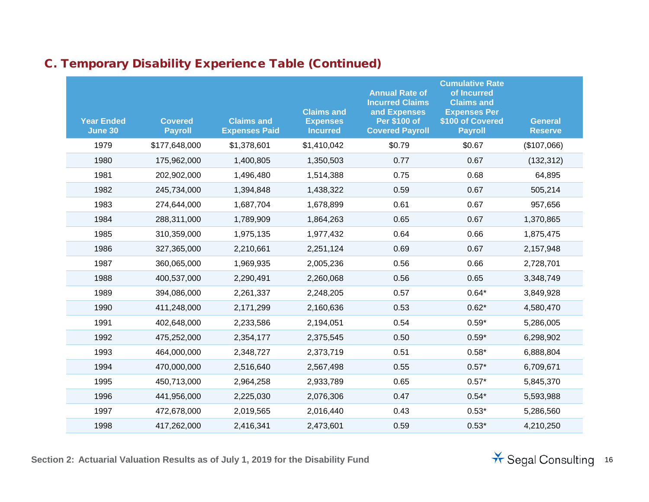| <b>Year Ended</b><br>June 30 | <b>Covered</b><br><b>Payroll</b> | <b>Claims and</b><br><b>Expenses Paid</b> | <b>Claims and</b><br><b>Expenses</b><br><b>Incurred</b> | <b>Annual Rate of</b><br><b>Incurred Claims</b><br>and Expenses<br><b>Per \$100 of</b><br><b>Covered Payroll</b> | <b>Cumulative Rate</b><br>of Incurred<br><b>Claims and</b><br><b>Expenses Per</b><br>\$100 of Covered<br><b>Payroll</b> | <b>General</b><br><b>Reserve</b> |
|------------------------------|----------------------------------|-------------------------------------------|---------------------------------------------------------|------------------------------------------------------------------------------------------------------------------|-------------------------------------------------------------------------------------------------------------------------|----------------------------------|
| 1979                         | \$177,648,000                    | \$1,378,601                               | \$1,410,042                                             | \$0.79                                                                                                           | \$0.67                                                                                                                  | (\$107,066)                      |
| 1980                         | 175,962,000                      | 1,400,805                                 | 1,350,503                                               | 0.77                                                                                                             | 0.67                                                                                                                    | (132, 312)                       |
| 1981                         | 202,902,000                      | 1,496,480                                 | 1,514,388                                               | 0.75                                                                                                             | 0.68                                                                                                                    | 64,895                           |
| 1982                         | 245,734,000                      | 1,394,848                                 | 1,438,322                                               | 0.59                                                                                                             | 0.67                                                                                                                    | 505,214                          |
| 1983                         | 274,644,000                      | 1,687,704                                 | 1,678,899                                               | 0.61                                                                                                             | 0.67                                                                                                                    | 957,656                          |
| 1984                         | 288,311,000                      | 1,789,909                                 | 1,864,263                                               | 0.65                                                                                                             | 0.67                                                                                                                    | 1,370,865                        |
| 1985                         | 310,359,000                      | 1,975,135                                 | 1,977,432                                               | 0.64                                                                                                             | 0.66                                                                                                                    | 1,875,475                        |
| 1986                         | 327,365,000                      | 2,210,661                                 | 2,251,124                                               | 0.69                                                                                                             | 0.67                                                                                                                    | 2,157,948                        |
| 1987                         | 360,065,000                      | 1,969,935                                 | 2,005,236                                               | 0.56                                                                                                             | 0.66                                                                                                                    | 2,728,701                        |
| 1988                         | 400,537,000                      | 2,290,491                                 | 2,260,068                                               | 0.56                                                                                                             | 0.65                                                                                                                    | 3,348,749                        |
| 1989                         | 394,086,000                      | 2,261,337                                 | 2,248,205                                               | 0.57                                                                                                             | $0.64*$                                                                                                                 | 3,849,928                        |
| 1990                         | 411,248,000                      | 2,171,299                                 | 2,160,636                                               | 0.53                                                                                                             | $0.62*$                                                                                                                 | 4,580,470                        |
| 1991                         | 402,648,000                      | 2,233,586                                 | 2,194,051                                               | 0.54                                                                                                             | $0.59*$                                                                                                                 | 5,286,005                        |
| 1992                         | 475,252,000                      | 2,354,177                                 | 2,375,545                                               | 0.50                                                                                                             | $0.59*$                                                                                                                 | 6,298,902                        |
| 1993                         | 464,000,000                      | 2,348,727                                 | 2,373,719                                               | 0.51                                                                                                             | $0.58*$                                                                                                                 | 6,888,804                        |
| 1994                         | 470,000,000                      | 2,516,640                                 | 2,567,498                                               | 0.55                                                                                                             | $0.57*$                                                                                                                 | 6,709,671                        |
| 1995                         | 450,713,000                      | 2,964,258                                 | 2,933,789                                               | 0.65                                                                                                             | $0.57*$                                                                                                                 | 5,845,370                        |
| 1996                         | 441,956,000                      | 2,225,030                                 | 2,076,306                                               | 0.47                                                                                                             | $0.54*$                                                                                                                 | 5,593,988                        |
| 1997                         | 472,678,000                      | 2,019,565                                 | 2,016,440                                               | 0.43                                                                                                             | $0.53*$                                                                                                                 | 5,286,560                        |
| 1998                         | 417,262,000                      | 2,416,341                                 | 2,473,601                                               | 0.59                                                                                                             | $0.53*$                                                                                                                 | 4,210,250                        |

Section 2: Actuarial Valuation Results as of July 1, 2019 for the Disability Fund<br>
The Segal Consulting 16

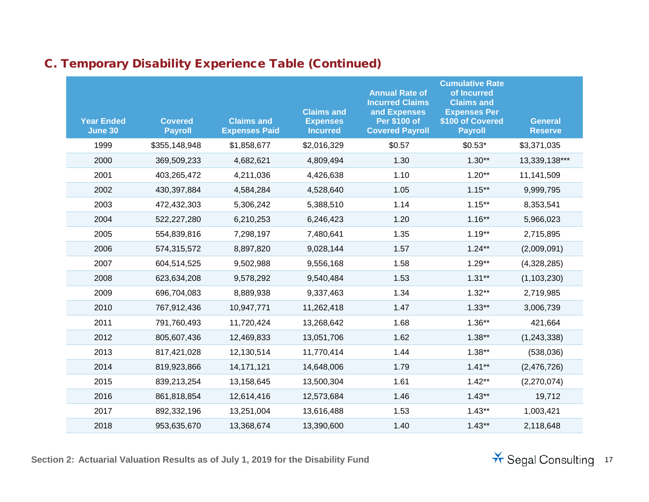| <b>Year Ended</b><br>June 30 | <b>Covered</b><br><b>Payroll</b> | <b>Claims and</b><br><b>Expenses Paid</b> | <b>Claims and</b><br><b>Expenses</b><br><b>Incurred</b> | <b>Annual Rate of</b><br><b>Incurred Claims</b><br>and Expenses<br><b>Per \$100 of</b><br><b>Covered Payroll</b> | <b>Cumulative Rate</b><br>of Incurred<br><b>Claims and</b><br><b>Expenses Per</b><br>\$100 of Covered<br><b>Payroll</b> | <b>General</b><br><b>Reserve</b> |
|------------------------------|----------------------------------|-------------------------------------------|---------------------------------------------------------|------------------------------------------------------------------------------------------------------------------|-------------------------------------------------------------------------------------------------------------------------|----------------------------------|
| 1999                         | \$355,148,948                    | \$1,858,677                               | \$2,016,329                                             | \$0.57                                                                                                           | $$0.53*$                                                                                                                | \$3,371,035                      |
| 2000                         | 369,509,233                      | 4,682,621                                 | 4,809,494                                               | 1.30                                                                                                             | $1.30**$                                                                                                                | 13,339,138***                    |
| 2001                         | 403,265,472                      | 4,211,036                                 | 4,426,638                                               | 1.10                                                                                                             | $1.20**$                                                                                                                | 11,141,509                       |
| 2002                         | 430,397,884                      | 4,584,284                                 | 4,528,640                                               | 1.05                                                                                                             | $1.15***$                                                                                                               | 9,999,795                        |
| 2003                         | 472,432,303                      | 5,306,242                                 | 5,388,510                                               | 1.14                                                                                                             | $1.15***$                                                                                                               | 8,353,541                        |
| 2004                         | 522,227,280                      | 6,210,253                                 | 6,246,423                                               | 1.20                                                                                                             | $1.16***$                                                                                                               | 5,966,023                        |
| 2005                         | 554,839,816                      | 7,298,197                                 | 7,480,641                                               | 1.35                                                                                                             | $1.19***$                                                                                                               | 2,715,895                        |
| 2006                         | 574,315,572                      | 8,897,820                                 | 9,028,144                                               | 1.57                                                                                                             | $1.24***$                                                                                                               | (2,009,091)                      |
| 2007                         | 604,514,525                      | 9,502,988                                 | 9,556,168                                               | 1.58                                                                                                             | $1.29**$                                                                                                                | (4,328,285)                      |
| 2008                         | 623,634,208                      | 9,578,292                                 | 9,540,484                                               | 1.53                                                                                                             | $1.31**$                                                                                                                | (1, 103, 230)                    |
| 2009                         | 696,704,083                      | 8,889,938                                 | 9,337,463                                               | 1.34                                                                                                             | $1.32**$                                                                                                                | 2,719,985                        |
| 2010                         | 767,912,436                      | 10,947,771                                | 11,262,418                                              | 1.47                                                                                                             | $1.33***$                                                                                                               | 3,006,739                        |
| 2011                         | 791,760,493                      | 11,720,424                                | 13,268,642                                              | 1.68                                                                                                             | $1.36***$                                                                                                               | 421,664                          |
| 2012                         | 805,607,436                      | 12,469,833                                | 13,051,706                                              | 1.62                                                                                                             | $1.38**$                                                                                                                | (1, 243, 338)                    |
| 2013                         | 817,421,028                      | 12,130,514                                | 11,770,414                                              | 1.44                                                                                                             | $1.38***$                                                                                                               | (538,036)                        |
| 2014                         | 819,923,866                      | 14,171,121                                | 14,648,006                                              | 1.79                                                                                                             | $1.41**$                                                                                                                | (2,476,726)                      |
| 2015                         | 839,213,254                      | 13,158,645                                | 13,500,304                                              | 1.61                                                                                                             | $1.42**$                                                                                                                | (2,270,074)                      |
| 2016                         | 861,818,854                      | 12,614,416                                | 12,573,684                                              | 1.46                                                                                                             | $1.43**$                                                                                                                | 19,712                           |
| 2017                         | 892,332,196                      | 13,251,004                                | 13,616,488                                              | 1.53                                                                                                             | $1.43***$                                                                                                               | 1,003,421                        |
| 2018                         | 953,635,670                      | 13,368,674                                | 13,390,600                                              | 1.40                                                                                                             | $1.43**$                                                                                                                | 2,118,648                        |

**Section 2: Actuarial Valuation Results as of July 1, 2019 for the Disability Fund** 17 **17** Segal Consulting 17

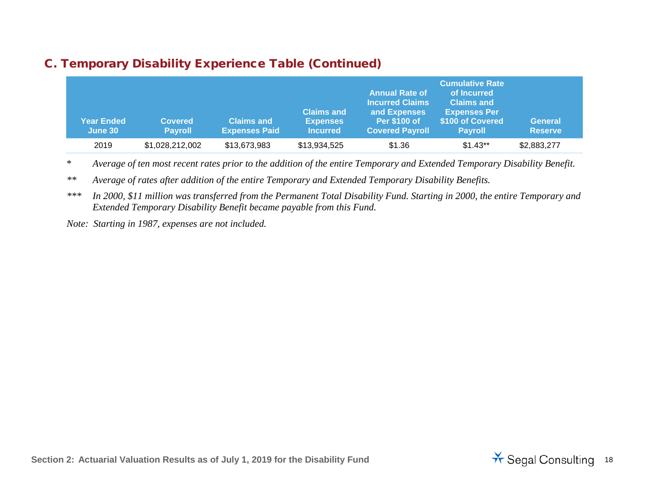| <b>Year Ended</b><br>June 30 | <b>Covered</b><br><b>Payroll</b> | <b>Claims and</b><br><b>Expenses Paid</b> | <b>Claims and</b><br><b>Expenses</b><br><b>Incurred</b> | <b>Annual Rate of</b><br><b>Incurred Claims</b><br>and Expenses<br><b>Per \$100 of</b><br><b>Covered Payroll</b> | <b>Cumulative Rate</b><br>of Incurred'<br><b>Claims and</b><br><b>Expenses Per</b><br>\$100 of Covered<br><b>Pavroll</b> | <b>General</b><br><b>Reserve</b> |
|------------------------------|----------------------------------|-------------------------------------------|---------------------------------------------------------|------------------------------------------------------------------------------------------------------------------|--------------------------------------------------------------------------------------------------------------------------|----------------------------------|
| 2019                         | \$1,028,212,002                  | \$13,673,983                              | \$13,934,525                                            | \$1.36                                                                                                           | $$1.43**$                                                                                                                | \$2,883,277                      |

\* *Average of ten most recent rates prior to the addition of the entire Temporary and Extended Temporary Disability Benefit.*

*\*\* Average of rates after addition of the entire Temporary and Extended Temporary Disability Benefits.*

*\*\*\* In 2000, \$11 million was transferred from the Permanent Total Disability Fund. Starting in 2000, the entire Temporary and Extended Temporary Disability Benefit became payable from this Fund.*

*Note: Starting in 1987, expenses are not included.*

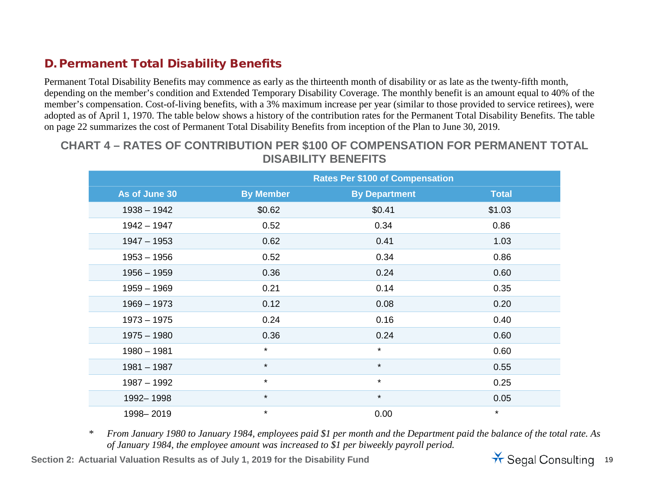#### D. Permanent Total Disability Benefits

Permanent Total Disability Benefits may commence as early as the thirteenth month of disability or as late as the twenty-fifth month, depending on the member's condition and Extended Temporary Disability Coverage. The monthly benefit is an amount equal to 40% of the member's compensation. Cost-of-living benefits, with a 3% maximum increase per year (similar to those provided to service retirees), were adopted as of April 1, 1970. The table below shows a history of the contribution rates for the Permanent Total Disability Benefits. The table on page 22 summarizes the cost of Permanent Total Disability Benefits from inception of the Plan to June 30, 2019.

### **CHART 4 – RATES OF CONTRIBUTION PER \$100 OF COMPENSATION FOR PERMANENT TOTAL DISABILITY BENEFITS**

|               |                  | <b>Rates Per \$100 of Compensation</b> |              |
|---------------|------------------|----------------------------------------|--------------|
| As of June 30 | <b>By Member</b> | <b>By Department</b>                   | <b>Total</b> |
| $1938 - 1942$ | \$0.62           | \$0.41                                 | \$1.03       |
| $1942 - 1947$ | 0.52             | 0.34                                   | 0.86         |
| $1947 - 1953$ | 0.62             | 0.41                                   | 1.03         |
| $1953 - 1956$ | 0.52             | 0.34                                   | 0.86         |
| $1956 - 1959$ | 0.36             | 0.24                                   | 0.60         |
| $1959 - 1969$ | 0.21             | 0.14                                   | 0.35         |
| $1969 - 1973$ | 0.12             | 0.08                                   | 0.20         |
| $1973 - 1975$ | 0.24             | 0.16                                   | 0.40         |
| $1975 - 1980$ | 0.36             | 0.24                                   | 0.60         |
| $1980 - 1981$ | $\star$          | $\star$                                | 0.60         |
| $1981 - 1987$ | $\star$          | $\star$                                | 0.55         |
| $1987 - 1992$ | $\star$          | $\star$                                | 0.25         |
| 1992-1998     | $\star$          | $\star$                                | 0.05         |
| 1998-2019     | $\star$          | 0.00                                   | $\star$      |

*\* From January 1980 to January 1984, employees paid \$1 per month and the Department paid the balance of the total rate. As of January 1984, the employee amount was increased to \$1 per biweekly payroll period.*

Section 2: Actuarial Valuation Results as of July 1, 2019 for the Disability Fund<br>
Section 2: Actuarial Valuation Results as of July 1, 2019 for the Disability Fund

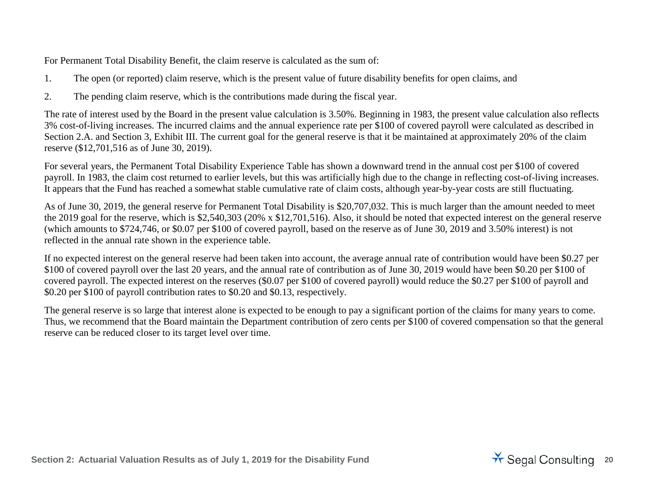<span id="page-19-0"></span>For Permanent Total Disability Benefit, the claim reserve is calculated as the sum of:

- 1. The open (or reported) claim reserve, which is the present value of future disability benefits for open claims, and
- 2. The pending claim reserve, which is the contributions made during the fiscal year.

The rate of interest used by the Board in the present value calculation is 3.50%. Beginning in 1983, the present value calculation also reflects 3% cost-of-living increases. The incurred claims and the annual experience rate per \$100 of covered payroll were calculated as described in Section 2.A. and Section 3, Exhibit III. The current goal for the general reserve is that it be maintained at approximately 20% of the claim reserve (\$12,701,516 as of June 30, 2019).

For several years, the Permanent Total Disability Experience Table has shown a downward trend in the annual cost per \$100 of covered payroll. In 1983, the claim cost returned to earlier levels, but this was artificially high due to the change in reflecting cost-of-living increases. It appears that the Fund has reached a somewhat stable cumulative rate of claim costs, although year-by-year costs are still fluctuating.

As of June 30, 2019, the general reserve for Permanent Total Disability is \$20,707,032. This is much larger than the amount needed to meet the 2019 goal for the reserve, which is \$2,540,303 (20% x \$12,701,516). Also, it should be noted that expected interest on the general reserve (which amounts to \$724,746, or \$0.07 per \$100 of covered payroll, based on the reserve as of June 30, 2019 and 3.50% interest) is not reflected in the annual rate shown in the experience table.

If no expected interest on the general reserve had been taken into account, the average annual rate of contribution would have been \$0.27 per \$100 of covered payroll over the last 20 years, and the annual rate of contribution as of June 30, 2019 would have been \$0.20 per \$100 of covered payroll. The expected interest on the reserves (\$0.07 per \$100 of covered payroll) would reduce the \$0.27 per \$100 of payroll and \$0.20 per \$100 of payroll contribution rates to \$0.20 and \$0.13, respectively.

The general reserve is so large that interest alone is expected to be enough to pay a significant portion of the claims for many years to come. Thus, we recommend that the Board maintain the Department contribution of zero cents per \$100 of covered compensation so that the general reserve can be reduced closer to its target level over time.

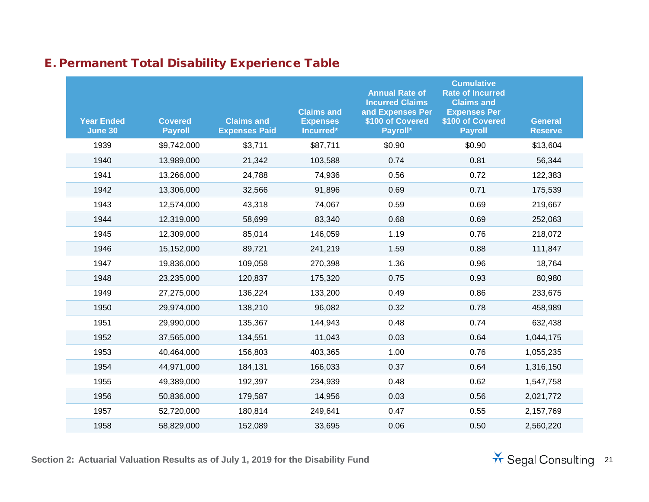| <b>Year Ended</b><br><b>June 30</b> | <b>Covered</b><br><b>Payroll</b> | <b>Claims and</b><br><b>Expenses Paid</b> | <b>Claims and</b><br><b>Expenses</b><br>Incurred* | <b>Annual Rate of</b><br><b>Incurred Claims</b><br>and Expenses Per<br>\$100 of Covered<br>Payroll* | <b>Cumulative</b><br><b>Rate of Incurred</b><br><b>Claims and</b><br><b>Expenses Per</b><br>\$100 of Covered<br><b>Payroll</b> | <b>General</b><br><b>Reserve</b> |
|-------------------------------------|----------------------------------|-------------------------------------------|---------------------------------------------------|-----------------------------------------------------------------------------------------------------|--------------------------------------------------------------------------------------------------------------------------------|----------------------------------|
| 1939                                | \$9,742,000                      | \$3,711                                   | \$87,711                                          | \$0.90                                                                                              | \$0.90                                                                                                                         | \$13,604                         |
| 1940                                | 13,989,000                       | 21,342                                    | 103,588                                           | 0.74                                                                                                | 0.81                                                                                                                           | 56,344                           |
| 1941                                | 13,266,000                       | 24,788                                    | 74,936                                            | 0.56                                                                                                | 0.72                                                                                                                           | 122,383                          |
| 1942                                | 13,306,000                       | 32,566                                    | 91,896                                            | 0.69                                                                                                | 0.71                                                                                                                           | 175,539                          |
| 1943                                | 12,574,000                       | 43,318                                    | 74,067                                            | 0.59                                                                                                | 0.69                                                                                                                           | 219,667                          |
| 1944                                | 12,319,000                       | 58,699                                    | 83,340                                            | 0.68                                                                                                | 0.69                                                                                                                           | 252,063                          |
| 1945                                | 12,309,000                       | 85,014                                    | 146,059                                           | 1.19                                                                                                | 0.76                                                                                                                           | 218,072                          |
| 1946                                | 15,152,000                       | 89,721                                    | 241,219                                           | 1.59                                                                                                | 0.88                                                                                                                           | 111,847                          |
| 1947                                | 19,836,000                       | 109,058                                   | 270,398                                           | 1.36                                                                                                | 0.96                                                                                                                           | 18,764                           |
| 1948                                | 23,235,000                       | 120,837                                   | 175,320                                           | 0.75                                                                                                | 0.93                                                                                                                           | 80,980                           |
| 1949                                | 27,275,000                       | 136,224                                   | 133,200                                           | 0.49                                                                                                | 0.86                                                                                                                           | 233,675                          |
| 1950                                | 29,974,000                       | 138,210                                   | 96,082                                            | 0.32                                                                                                | 0.78                                                                                                                           | 458,989                          |
| 1951                                | 29,990,000                       | 135,367                                   | 144,943                                           | 0.48                                                                                                | 0.74                                                                                                                           | 632,438                          |
| 1952                                | 37,565,000                       | 134,551                                   | 11,043                                            | 0.03                                                                                                | 0.64                                                                                                                           | 1,044,175                        |
| 1953                                | 40,464,000                       | 156,803                                   | 403,365                                           | 1.00                                                                                                | 0.76                                                                                                                           | 1,055,235                        |
| 1954                                | 44,971,000                       | 184,131                                   | 166,033                                           | 0.37                                                                                                | 0.64                                                                                                                           | 1,316,150                        |
| 1955                                | 49,389,000                       | 192,397                                   | 234,939                                           | 0.48                                                                                                | 0.62                                                                                                                           | 1,547,758                        |
| 1956                                | 50,836,000                       | 179,587                                   | 14,956                                            | 0.03                                                                                                | 0.56                                                                                                                           | 2,021,772                        |
| 1957                                | 52,720,000                       | 180,814                                   | 249,641                                           | 0.47                                                                                                | 0.55                                                                                                                           | 2,157,769                        |
| 1958                                | 58,829,000                       | 152,089                                   | 33,695                                            | 0.06                                                                                                | 0.50                                                                                                                           | 2,560,220                        |

### E. Permanent Total Disability Experience Table

**Section 2: Actuarial Valuation Results as of July 1, 2019 for the Disability Fund** 200 **1 21** 21

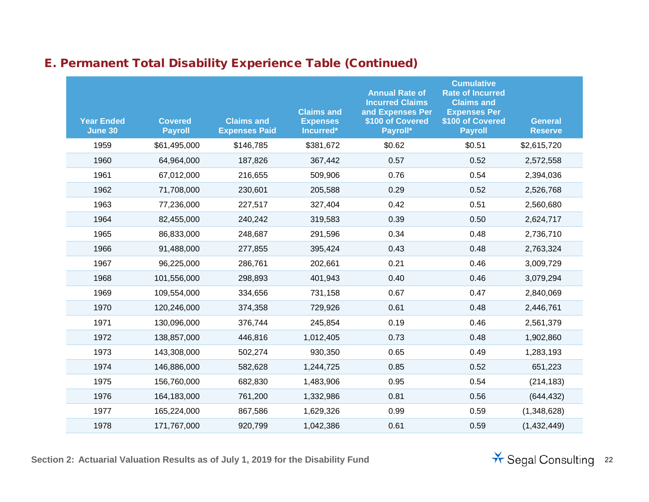| <b>Year Ended</b><br>June 30 | <b>Covered</b><br><b>Payroll</b> | <b>Claims and</b><br><b>Expenses Paid</b> | <b>Claims and</b><br><b>Expenses</b><br>Incurred* | <b>Annual Rate of</b><br><b>Incurred Claims</b><br>and Expenses Per<br>\$100 of Covered<br>Payroll* | <b>Cumulative</b><br><b>Rate of Incurred</b><br><b>Claims and</b><br><b>Expenses Per</b><br>\$100 of Covered<br><b>Payroll</b> | <b>General</b><br><b>Reserve</b> |
|------------------------------|----------------------------------|-------------------------------------------|---------------------------------------------------|-----------------------------------------------------------------------------------------------------|--------------------------------------------------------------------------------------------------------------------------------|----------------------------------|
| 1959                         | \$61,495,000                     | \$146,785                                 | \$381,672                                         | \$0.62                                                                                              | \$0.51                                                                                                                         | \$2,615,720                      |
| 1960                         | 64,964,000                       | 187,826                                   | 367,442                                           | 0.57                                                                                                | 0.52                                                                                                                           | 2,572,558                        |
| 1961                         | 67,012,000                       | 216,655                                   | 509,906                                           | 0.76                                                                                                | 0.54                                                                                                                           | 2,394,036                        |
| 1962                         | 71,708,000                       | 230,601                                   | 205,588                                           | 0.29                                                                                                | 0.52                                                                                                                           | 2,526,768                        |
| 1963                         | 77,236,000                       | 227,517                                   | 327,404                                           | 0.42                                                                                                | 0.51                                                                                                                           | 2,560,680                        |
| 1964                         | 82,455,000                       | 240,242                                   | 319,583                                           | 0.39                                                                                                | 0.50                                                                                                                           | 2,624,717                        |
| 1965                         | 86,833,000                       | 248,687                                   | 291,596                                           | 0.34                                                                                                | 0.48                                                                                                                           | 2,736,710                        |
| 1966                         | 91,488,000                       | 277,855                                   | 395,424                                           | 0.43                                                                                                | 0.48                                                                                                                           | 2,763,324                        |
| 1967                         | 96,225,000                       | 286,761                                   | 202,661                                           | 0.21                                                                                                | 0.46                                                                                                                           | 3,009,729                        |
| 1968                         | 101,556,000                      | 298,893                                   | 401,943                                           | 0.40                                                                                                | 0.46                                                                                                                           | 3,079,294                        |
| 1969                         | 109,554,000                      | 334,656                                   | 731,158                                           | 0.67                                                                                                | 0.47                                                                                                                           | 2,840,069                        |
| 1970                         | 120,246,000                      | 374,358                                   | 729,926                                           | 0.61                                                                                                | 0.48                                                                                                                           | 2,446,761                        |
| 1971                         | 130,096,000                      | 376,744                                   | 245,854                                           | 0.19                                                                                                | 0.46                                                                                                                           | 2,561,379                        |
| 1972                         | 138,857,000                      | 446,816                                   | 1,012,405                                         | 0.73                                                                                                | 0.48                                                                                                                           | 1,902,860                        |
| 1973                         | 143,308,000                      | 502,274                                   | 930,350                                           | 0.65                                                                                                | 0.49                                                                                                                           | 1,283,193                        |
| 1974                         | 146,886,000                      | 582,628                                   | 1,244,725                                         | 0.85                                                                                                | 0.52                                                                                                                           | 651,223                          |
| 1975                         | 156,760,000                      | 682,830                                   | 1,483,906                                         | 0.95                                                                                                | 0.54                                                                                                                           | (214, 183)                       |
| 1976                         | 164,183,000                      | 761,200                                   | 1,332,986                                         | 0.81                                                                                                | 0.56                                                                                                                           | (644, 432)                       |
| 1977                         | 165,224,000                      | 867,586                                   | 1,629,326                                         | 0.99                                                                                                | 0.59                                                                                                                           | (1,348,628)                      |
| 1978                         | 171,767,000                      | 920,799                                   | 1,042,386                                         | 0.61                                                                                                | 0.59                                                                                                                           | (1,432,449)                      |

**Section 2: Actuarial Valuation Results as of July 1, 2019 for the Disability Fund** 22

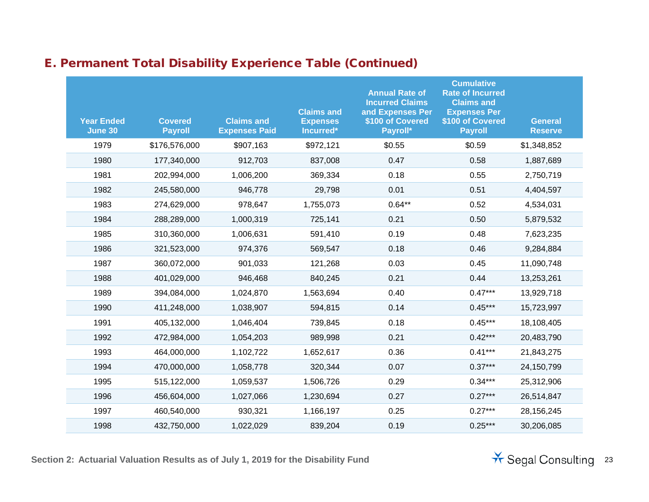| <b>Year Ended</b><br><b>June 30</b> | <b>Covered</b><br><b>Payroll</b> | <b>Claims and</b><br><b>Expenses Paid</b> | <b>Claims and</b><br><b>Expenses</b><br>Incurred* | <b>Annual Rate of</b><br><b>Incurred Claims</b><br>and Expenses Per<br>\$100 of Covered<br>Payroll* | <b>Cumulative</b><br><b>Rate of Incurred</b><br><b>Claims and</b><br><b>Expenses Per</b><br>\$100 of Covered<br><b>Payroll</b> | <b>General</b><br><b>Reserve</b> |
|-------------------------------------|----------------------------------|-------------------------------------------|---------------------------------------------------|-----------------------------------------------------------------------------------------------------|--------------------------------------------------------------------------------------------------------------------------------|----------------------------------|
| 1979                                | \$176,576,000                    | \$907,163                                 | \$972,121                                         | \$0.55                                                                                              | \$0.59                                                                                                                         | \$1,348,852                      |
| 1980                                | 177,340,000                      | 912,703                                   | 837,008                                           | 0.47                                                                                                | 0.58                                                                                                                           | 1,887,689                        |
| 1981                                | 202,994,000                      | 1,006,200                                 | 369,334                                           | 0.18                                                                                                | 0.55                                                                                                                           | 2,750,719                        |
| 1982                                | 245,580,000                      | 946,778                                   | 29,798                                            | 0.01                                                                                                | 0.51                                                                                                                           | 4,404,597                        |
| 1983                                | 274,629,000                      | 978,647                                   | 1,755,073                                         | $0.64**$                                                                                            | 0.52                                                                                                                           | 4,534,031                        |
| 1984                                | 288,289,000                      | 1,000,319                                 | 725,141                                           | 0.21                                                                                                | 0.50                                                                                                                           | 5,879,532                        |
| 1985                                | 310,360,000                      | 1,006,631                                 | 591,410                                           | 0.19                                                                                                | 0.48                                                                                                                           | 7,623,235                        |
| 1986                                | 321,523,000                      | 974,376                                   | 569,547                                           | 0.18                                                                                                | 0.46                                                                                                                           | 9,284,884                        |
| 1987                                | 360,072,000                      | 901,033                                   | 121,268                                           | 0.03                                                                                                | 0.45                                                                                                                           | 11,090,748                       |
| 1988                                | 401,029,000                      | 946,468                                   | 840,245                                           | 0.21                                                                                                | 0.44                                                                                                                           | 13,253,261                       |
| 1989                                | 394,084,000                      | 1,024,870                                 | 1,563,694                                         | 0.40                                                                                                | $0.47***$                                                                                                                      | 13,929,718                       |
| 1990                                | 411,248,000                      | 1,038,907                                 | 594,815                                           | 0.14                                                                                                | $0.45***$                                                                                                                      | 15,723,997                       |
| 1991                                | 405,132,000                      | 1,046,404                                 | 739,845                                           | 0.18                                                                                                | $0.45***$                                                                                                                      | 18,108,405                       |
| 1992                                | 472,984,000                      | 1,054,203                                 | 989,998                                           | 0.21                                                                                                | $0.42***$                                                                                                                      | 20,483,790                       |
| 1993                                | 464,000,000                      | 1,102,722                                 | 1,652,617                                         | 0.36                                                                                                | $0.41***$                                                                                                                      | 21,843,275                       |
| 1994                                | 470,000,000                      | 1,058,778                                 | 320,344                                           | 0.07                                                                                                | $0.37***$                                                                                                                      | 24,150,799                       |
| 1995                                | 515,122,000                      | 1,059,537                                 | 1,506,726                                         | 0.29                                                                                                | $0.34***$                                                                                                                      | 25,312,906                       |
| 1996                                | 456,604,000                      | 1,027,066                                 | 1,230,694                                         | 0.27                                                                                                | $0.27***$                                                                                                                      | 26,514,847                       |
| 1997                                | 460,540,000                      | 930,321                                   | 1,166,197                                         | 0.25                                                                                                | $0.27***$                                                                                                                      | 28, 156, 245                     |
| 1998                                | 432,750,000                      | 1,022,029                                 | 839,204                                           | 0.19                                                                                                | $0.25***$                                                                                                                      | 30,206,085                       |

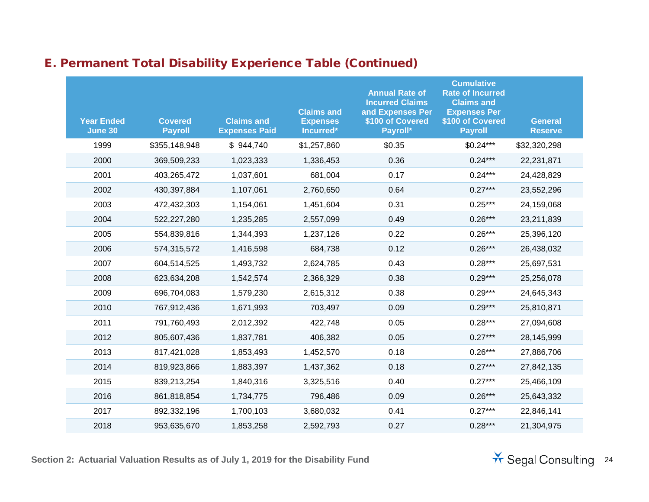| <b>Year Ended</b><br><b>June 30</b> | <b>Covered</b><br><b>Payroll</b> | <b>Claims and</b><br><b>Expenses Paid</b> | <b>Claims and</b><br><b>Expenses</b><br>Incurred* | <b>Annual Rate of</b><br><b>Incurred Claims</b><br>and Expenses Per<br>\$100 of Covered<br>Payroll* | <b>Cumulative</b><br><b>Rate of Incurred</b><br><b>Claims and</b><br><b>Expenses Per</b><br>\$100 of Covered<br><b>Payroll</b> | <b>General</b><br><b>Reserve</b> |
|-------------------------------------|----------------------------------|-------------------------------------------|---------------------------------------------------|-----------------------------------------------------------------------------------------------------|--------------------------------------------------------------------------------------------------------------------------------|----------------------------------|
| 1999                                | \$355,148,948                    | \$944,740                                 | \$1,257,860                                       | \$0.35                                                                                              | $$0.24***$                                                                                                                     | \$32,320,298                     |
| 2000                                | 369,509,233                      | 1,023,333                                 | 1,336,453                                         | 0.36                                                                                                | $0.24***$                                                                                                                      | 22,231,871                       |
| 2001                                | 403,265,472                      | 1,037,601                                 | 681,004                                           | 0.17                                                                                                | $0.24***$                                                                                                                      | 24,428,829                       |
| 2002                                | 430,397,884                      | 1,107,061                                 | 2,760,650                                         | 0.64                                                                                                | $0.27***$                                                                                                                      | 23,552,296                       |
| 2003                                | 472,432,303                      | 1,154,061                                 | 1,451,604                                         | 0.31                                                                                                | $0.25***$                                                                                                                      | 24,159,068                       |
| 2004                                | 522,227,280                      | 1,235,285                                 | 2,557,099                                         | 0.49                                                                                                | $0.26***$                                                                                                                      | 23,211,839                       |
| 2005                                | 554,839,816                      | 1,344,393                                 | 1,237,126                                         | 0.22                                                                                                | $0.26***$                                                                                                                      | 25,396,120                       |
| 2006                                | 574,315,572                      | 1,416,598                                 | 684,738                                           | 0.12                                                                                                | $0.26***$                                                                                                                      | 26,438,032                       |
| 2007                                | 604,514,525                      | 1,493,732                                 | 2,624,785                                         | 0.43                                                                                                | $0.28***$                                                                                                                      | 25,697,531                       |
| 2008                                | 623,634,208                      | 1,542,574                                 | 2,366,329                                         | 0.38                                                                                                | $0.29***$                                                                                                                      | 25,256,078                       |
| 2009                                | 696,704,083                      | 1,579,230                                 | 2,615,312                                         | 0.38                                                                                                | $0.29***$                                                                                                                      | 24,645,343                       |
| 2010                                | 767,912,436                      | 1,671,993                                 | 703,497                                           | 0.09                                                                                                | $0.29***$                                                                                                                      | 25,810,871                       |
| 2011                                | 791,760,493                      | 2,012,392                                 | 422,748                                           | 0.05                                                                                                | $0.28***$                                                                                                                      | 27,094,608                       |
| 2012                                | 805,607,436                      | 1,837,781                                 | 406,382                                           | 0.05                                                                                                | $0.27***$                                                                                                                      | 28,145,999                       |
| 2013                                | 817,421,028                      | 1,853,493                                 | 1,452,570                                         | 0.18                                                                                                | $0.26***$                                                                                                                      | 27,886,706                       |
| 2014                                | 819,923,866                      | 1,883,397                                 | 1,437,362                                         | 0.18                                                                                                | $0.27***$                                                                                                                      | 27,842,135                       |
| 2015                                | 839,213,254                      | 1,840,316                                 | 3,325,516                                         | 0.40                                                                                                | $0.27***$                                                                                                                      | 25,466,109                       |
| 2016                                | 861,818,854                      | 1,734,775                                 | 796,486                                           | 0.09                                                                                                | $0.26***$                                                                                                                      | 25,643,332                       |
| 2017                                | 892,332,196                      | 1,700,103                                 | 3,680,032                                         | 0.41                                                                                                | $0.27***$                                                                                                                      | 22,846,141                       |
| 2018                                | 953,635,670                      | 1,853,258                                 | 2,592,793                                         | 0.27                                                                                                | $0.28***$                                                                                                                      | 21,304,975                       |

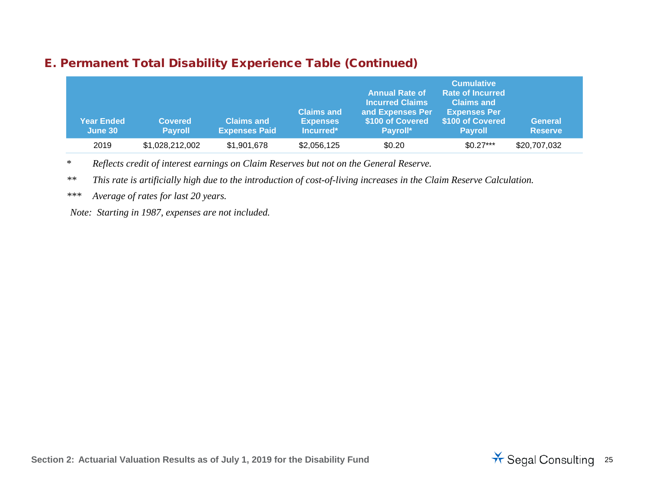#### E. Permanent Total Disability Experience Table (Continued)

| <b>Year Ended</b><br>June 30 | <b>Covered</b><br><b>Payroll</b> | <b>Claims and</b><br><b>Expenses Paid</b> | <b>Claims and</b><br><b>Expenses</b><br>Incurred* | <b>Annual Rate of</b><br><b>Incurred Claims</b><br>and Expenses Per<br>\$100 of Covered<br>Payroll* | <b>Cumulative</b><br><b>Rate of Incurred</b><br><b>Claims and</b><br><b>Expenses Per</b><br>\$100 of Covered<br><b>Pavroll</b> | <b>General</b><br><b>Reserve</b> |
|------------------------------|----------------------------------|-------------------------------------------|---------------------------------------------------|-----------------------------------------------------------------------------------------------------|--------------------------------------------------------------------------------------------------------------------------------|----------------------------------|
| 2019                         | \$1,028,212,002                  | \$1,901,678                               | \$2,056,125                                       | \$0.20                                                                                              | $$0.27***$                                                                                                                     | \$20,707,032                     |

\* *Reflects credit of interest earnings on Claim Reserves but not on the General Reserve.*

*\*\* This rate is artificially high due to the introduction of cost-of-living increases in the Claim Reserve Calculation.*

*\*\*\* Average of rates for last 20 years.*

*Note: Starting in 1987, expenses are not included.*

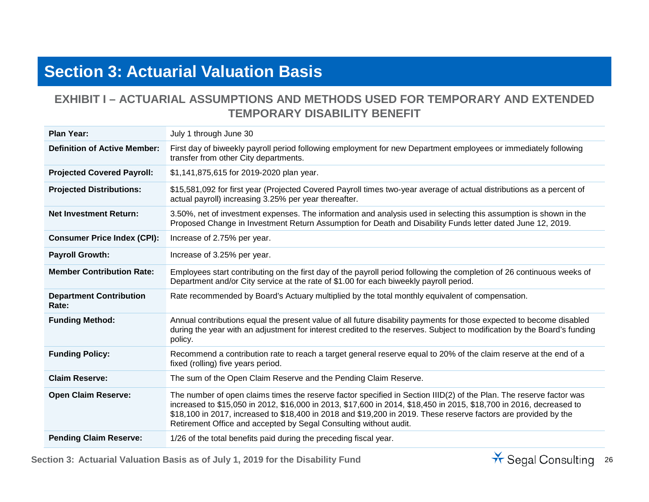## **Section 3: Actuarial Valuation Basis**

#### <span id="page-25-0"></span>**EXHIBIT I – ACTUARIAL ASSUMPTIONS AND METHODS USED FOR TEMPORARY AND EXTENDED TEMPORARY DISABILITY BENEFIT**

| <b>Plan Year:</b>                       | July 1 through June 30                                                                                                                                                                                                                                                                                                                                                                                                             |
|-----------------------------------------|------------------------------------------------------------------------------------------------------------------------------------------------------------------------------------------------------------------------------------------------------------------------------------------------------------------------------------------------------------------------------------------------------------------------------------|
| <b>Definition of Active Member:</b>     | First day of biweekly payroll period following employment for new Department employees or immediately following<br>transfer from other City departments.                                                                                                                                                                                                                                                                           |
| <b>Projected Covered Payroll:</b>       | \$1,141,875,615 for 2019-2020 plan year.                                                                                                                                                                                                                                                                                                                                                                                           |
| <b>Projected Distributions:</b>         | \$15,581,092 for first year (Projected Covered Payroll times two-year average of actual distributions as a percent of<br>actual payroll) increasing 3.25% per year thereafter.                                                                                                                                                                                                                                                     |
| <b>Net Investment Return:</b>           | 3.50%, net of investment expenses. The information and analysis used in selecting this assumption is shown in the<br>Proposed Change in Investment Return Assumption for Death and Disability Funds letter dated June 12, 2019.                                                                                                                                                                                                    |
| <b>Consumer Price Index (CPI):</b>      | Increase of 2.75% per year.                                                                                                                                                                                                                                                                                                                                                                                                        |
| <b>Payroll Growth:</b>                  | Increase of 3.25% per year.                                                                                                                                                                                                                                                                                                                                                                                                        |
| <b>Member Contribution Rate:</b>        | Employees start contributing on the first day of the payroll period following the completion of 26 continuous weeks of<br>Department and/or City service at the rate of \$1.00 for each biweekly payroll period.                                                                                                                                                                                                                   |
| <b>Department Contribution</b><br>Rate: | Rate recommended by Board's Actuary multiplied by the total monthly equivalent of compensation.                                                                                                                                                                                                                                                                                                                                    |
| <b>Funding Method:</b>                  | Annual contributions equal the present value of all future disability payments for those expected to become disabled<br>during the year with an adjustment for interest credited to the reserves. Subject to modification by the Board's funding<br>policy.                                                                                                                                                                        |
| <b>Funding Policy:</b>                  | Recommend a contribution rate to reach a target general reserve equal to 20% of the claim reserve at the end of a<br>fixed (rolling) five years period.                                                                                                                                                                                                                                                                            |
| <b>Claim Reserve:</b>                   | The sum of the Open Claim Reserve and the Pending Claim Reserve.                                                                                                                                                                                                                                                                                                                                                                   |
| <b>Open Claim Reserve:</b>              | The number of open claims times the reserve factor specified in Section IIID(2) of the Plan. The reserve factor was<br>increased to \$15,050 in 2012, \$16,000 in 2013, \$17,600 in 2014, \$18,450 in 2015, \$18,700 in 2016, decreased to<br>\$18,100 in 2017, increased to \$18,400 in 2018 and \$19,200 in 2019. These reserve factors are provided by the<br>Retirement Office and accepted by Segal Consulting without audit. |
| <b>Pending Claim Reserve:</b>           | 1/26 of the total benefits paid during the preceding fiscal year.                                                                                                                                                                                                                                                                                                                                                                  |

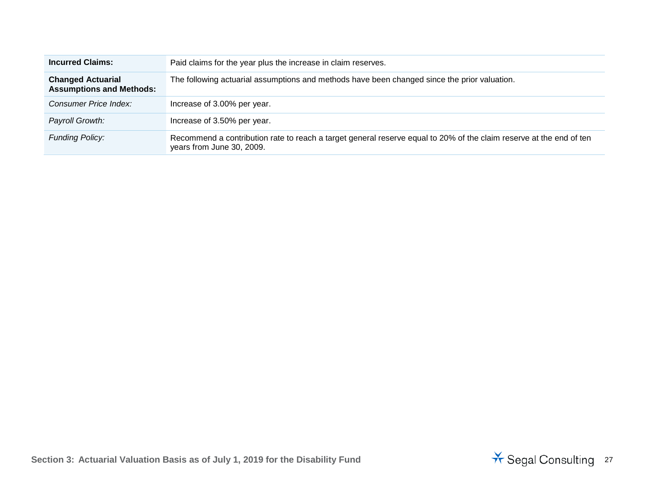| <b>Incurred Claims:</b>                                     | Paid claims for the year plus the increase in claim reserves.                                                                                    |
|-------------------------------------------------------------|--------------------------------------------------------------------------------------------------------------------------------------------------|
| <b>Changed Actuarial</b><br><b>Assumptions and Methods:</b> | The following actuarial assumptions and methods have been changed since the prior valuation.                                                     |
| Consumer Price Index:                                       | Increase of 3.00% per year.                                                                                                                      |
| Payroll Growth:                                             | Increase of 3.50% per year.                                                                                                                      |
| <b>Funding Policy:</b>                                      | Recommend a contribution rate to reach a target general reserve equal to 20% of the claim reserve at the end of ten<br>years from June 30, 2009. |

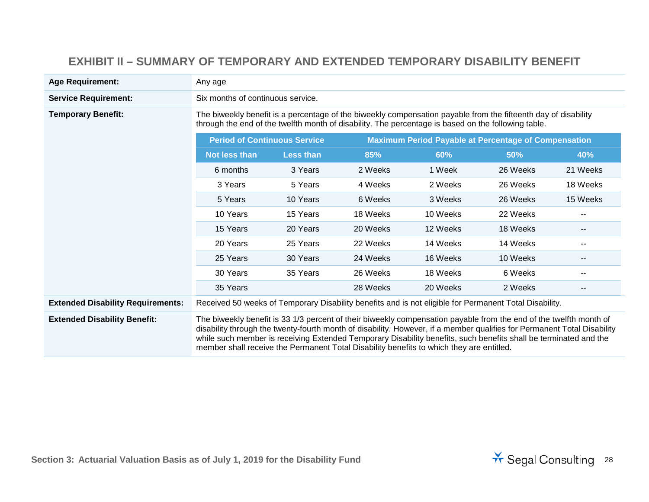#### **EXHIBIT II – SUMMARY OF TEMPORARY AND EXTENDED TEMPORARY DISABILITY BENEFIT**

| <b>Age Requirement:</b>                  | Any age                                                                                                                                                                                                                                                                                                                                                                                                                                                       |                  |                                                             |          |          |                          |
|------------------------------------------|---------------------------------------------------------------------------------------------------------------------------------------------------------------------------------------------------------------------------------------------------------------------------------------------------------------------------------------------------------------------------------------------------------------------------------------------------------------|------------------|-------------------------------------------------------------|----------|----------|--------------------------|
| <b>Service Requirement:</b>              | Six months of continuous service.                                                                                                                                                                                                                                                                                                                                                                                                                             |                  |                                                             |          |          |                          |
| <b>Temporary Benefit:</b>                | The biweekly benefit is a percentage of the biweekly compensation payable from the fifteenth day of disability<br>through the end of the twelfth month of disability. The percentage is based on the following table.                                                                                                                                                                                                                                         |                  |                                                             |          |          |                          |
|                                          | <b>Period of Continuous Service</b>                                                                                                                                                                                                                                                                                                                                                                                                                           |                  | <b>Maximum Period Payable at Percentage of Compensation</b> |          |          |                          |
|                                          | <b>Not less than</b>                                                                                                                                                                                                                                                                                                                                                                                                                                          | <b>Less than</b> | 85%                                                         | 60%      | 50%      | 40%                      |
|                                          | 6 months                                                                                                                                                                                                                                                                                                                                                                                                                                                      | 3 Years          | 2 Weeks                                                     | 1 Week   | 26 Weeks | 21 Weeks                 |
|                                          | 3 Years                                                                                                                                                                                                                                                                                                                                                                                                                                                       | 5 Years          | 4 Weeks                                                     | 2 Weeks  | 26 Weeks | 18 Weeks                 |
|                                          | 5 Years                                                                                                                                                                                                                                                                                                                                                                                                                                                       | 10 Years         | 6 Weeks                                                     | 3 Weeks  | 26 Weeks | 15 Weeks                 |
|                                          | 10 Years                                                                                                                                                                                                                                                                                                                                                                                                                                                      | 15 Years         | 18 Weeks                                                    | 10 Weeks | 22 Weeks | $- -$                    |
|                                          | 15 Years                                                                                                                                                                                                                                                                                                                                                                                                                                                      | 20 Years         | 20 Weeks                                                    | 12 Weeks | 18 Weeks | $\overline{\phantom{a}}$ |
|                                          | 20 Years                                                                                                                                                                                                                                                                                                                                                                                                                                                      | 25 Years         | 22 Weeks                                                    | 14 Weeks | 14 Weeks | $-$                      |
|                                          | 25 Years                                                                                                                                                                                                                                                                                                                                                                                                                                                      | 30 Years         | 24 Weeks                                                    | 16 Weeks | 10 Weeks | --                       |
|                                          | 30 Years                                                                                                                                                                                                                                                                                                                                                                                                                                                      | 35 Years         | 26 Weeks                                                    | 18 Weeks | 6 Weeks  | $-$                      |
|                                          | 35 Years                                                                                                                                                                                                                                                                                                                                                                                                                                                      |                  | 28 Weeks                                                    | 20 Weeks | 2 Weeks  | $\overline{\phantom{a}}$ |
| <b>Extended Disability Requirements:</b> | Received 50 weeks of Temporary Disability benefits and is not eligible for Permanent Total Disability.                                                                                                                                                                                                                                                                                                                                                        |                  |                                                             |          |          |                          |
| <b>Extended Disability Benefit:</b>      | The biweekly benefit is 33 1/3 percent of their biweekly compensation payable from the end of the twelfth month of<br>disability through the twenty-fourth month of disability. However, if a member qualifies for Permanent Total Disability<br>while such member is receiving Extended Temporary Disability benefits, such benefits shall be terminated and the<br>member shall receive the Permanent Total Disability benefits to which they are entitled. |                  |                                                             |          |          |                          |

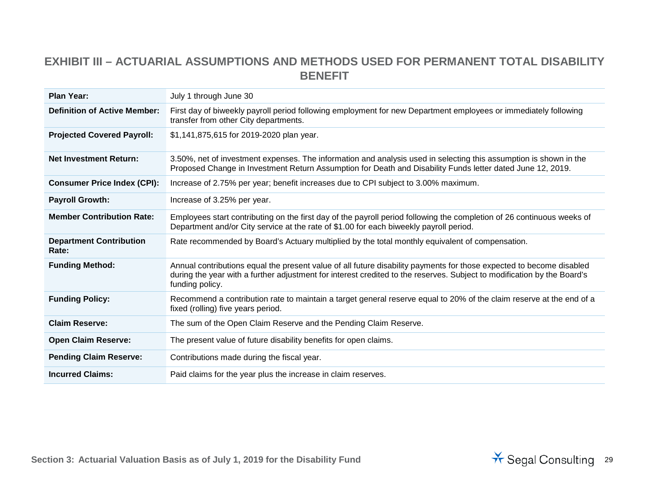#### **EXHIBIT III – ACTUARIAL ASSUMPTIONS AND METHODS USED FOR PERMANENT TOTAL DISABILITY BENEFIT**

| <b>Plan Year:</b>                       | July 1 through June 30                                                                                                                                                                                                                                             |
|-----------------------------------------|--------------------------------------------------------------------------------------------------------------------------------------------------------------------------------------------------------------------------------------------------------------------|
| <b>Definition of Active Member:</b>     | First day of biweekly payroll period following employment for new Department employees or immediately following<br>transfer from other City departments.                                                                                                           |
| <b>Projected Covered Payroll:</b>       | \$1,141,875,615 for 2019-2020 plan year.                                                                                                                                                                                                                           |
| <b>Net Investment Return:</b>           | 3.50%, net of investment expenses. The information and analysis used in selecting this assumption is shown in the<br>Proposed Change in Investment Return Assumption for Death and Disability Funds letter dated June 12, 2019.                                    |
| <b>Consumer Price Index (CPI):</b>      | Increase of 2.75% per year; benefit increases due to CPI subject to 3.00% maximum.                                                                                                                                                                                 |
| <b>Payroll Growth:</b>                  | Increase of 3.25% per year.                                                                                                                                                                                                                                        |
| <b>Member Contribution Rate:</b>        | Employees start contributing on the first day of the payroll period following the completion of 26 continuous weeks of<br>Department and/or City service at the rate of \$1.00 for each biweekly payroll period.                                                   |
| <b>Department Contribution</b><br>Rate: | Rate recommended by Board's Actuary multiplied by the total monthly equivalent of compensation.                                                                                                                                                                    |
| <b>Funding Method:</b>                  | Annual contributions equal the present value of all future disability payments for those expected to become disabled<br>during the year with a further adjustment for interest credited to the reserves. Subject to modification by the Board's<br>funding policy. |
| <b>Funding Policy:</b>                  | Recommend a contribution rate to maintain a target general reserve equal to 20% of the claim reserve at the end of a<br>fixed (rolling) five years period.                                                                                                         |
| <b>Claim Reserve:</b>                   | The sum of the Open Claim Reserve and the Pending Claim Reserve.                                                                                                                                                                                                   |
| <b>Open Claim Reserve:</b>              | The present value of future disability benefits for open claims.                                                                                                                                                                                                   |
| <b>Pending Claim Reserve:</b>           | Contributions made during the fiscal year.                                                                                                                                                                                                                         |
| <b>Incurred Claims:</b>                 | Paid claims for the year plus the increase in claim reserves.                                                                                                                                                                                                      |

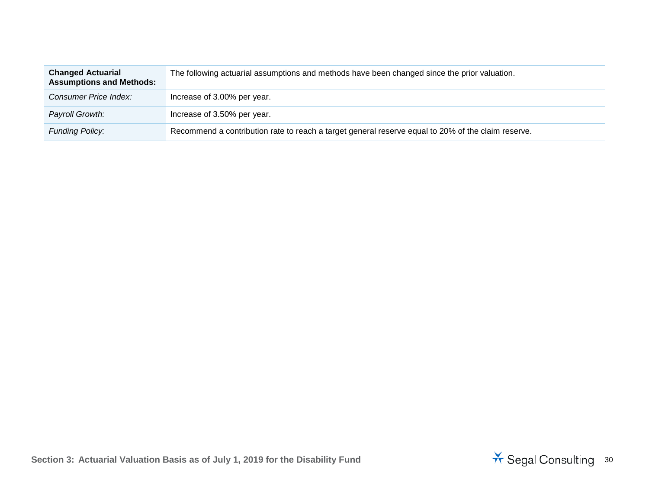| <b>Changed Actuarial</b><br><b>Assumptions and Methods:</b> | The following actuarial assumptions and methods have been changed since the prior valuation.       |
|-------------------------------------------------------------|----------------------------------------------------------------------------------------------------|
| Consumer Price Index:                                       | Increase of 3.00% per year.                                                                        |
| Payroll Growth:                                             | Increase of 3.50% per year.                                                                        |
| <b>Funding Policy:</b>                                      | Recommend a contribution rate to reach a target general reserve equal to 20% of the claim reserve. |

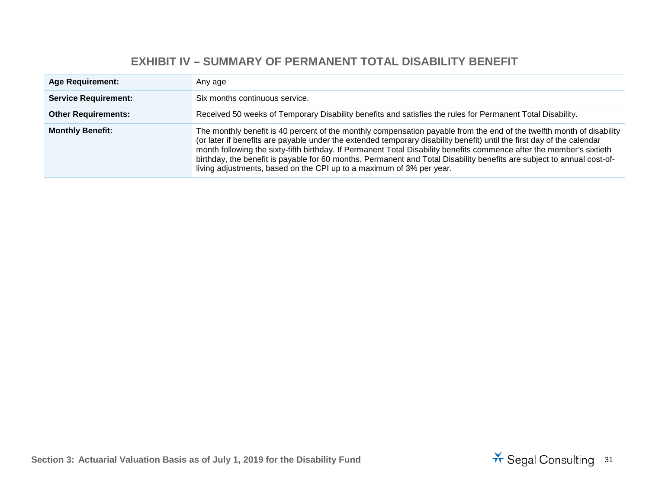#### **EXHIBIT IV – SUMMARY OF PERMANENT TOTAL DISABILITY BENEFIT**

| <b>Age Requirement:</b>     | Any age                                                                                                                                                                                                                                                                                                                                                                                                                                                                                                                                                                    |
|-----------------------------|----------------------------------------------------------------------------------------------------------------------------------------------------------------------------------------------------------------------------------------------------------------------------------------------------------------------------------------------------------------------------------------------------------------------------------------------------------------------------------------------------------------------------------------------------------------------------|
| <b>Service Requirement:</b> | Six months continuous service.                                                                                                                                                                                                                                                                                                                                                                                                                                                                                                                                             |
| <b>Other Requirements:</b>  | Received 50 weeks of Temporary Disability benefits and satisfies the rules for Permanent Total Disability.                                                                                                                                                                                                                                                                                                                                                                                                                                                                 |
| <b>Monthly Benefit:</b>     | The monthly benefit is 40 percent of the monthly compensation payable from the end of the twelfth month of disability<br>(or later if benefits are payable under the extended temporary disability benefit) until the first day of the calendar<br>month following the sixty-fifth birthday. If Permanent Total Disability benefits commence after the member's sixtieth<br>birthday, the benefit is payable for 60 months. Permanent and Total Disability benefits are subject to annual cost-of-<br>living adjustments, based on the CPI up to a maximum of 3% per year. |

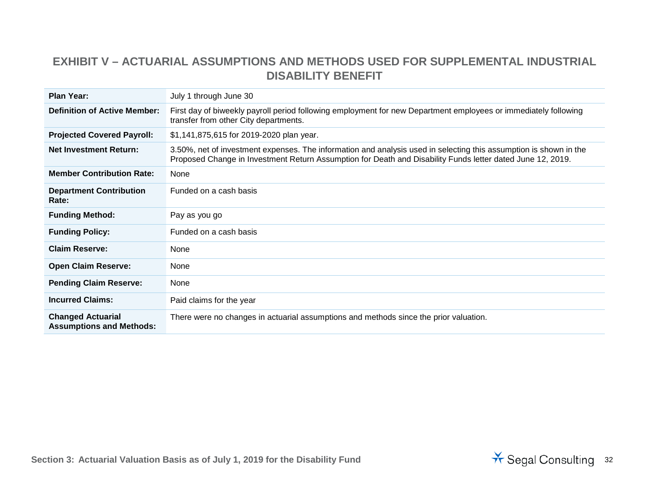#### **EXHIBIT V – ACTUARIAL ASSUMPTIONS AND METHODS USED FOR SUPPLEMENTAL INDUSTRIAL DISABILITY BENEFIT**

| <b>Plan Year:</b>                                           | July 1 through June 30                                                                                                                                                                                                          |
|-------------------------------------------------------------|---------------------------------------------------------------------------------------------------------------------------------------------------------------------------------------------------------------------------------|
| <b>Definition of Active Member:</b>                         | First day of biweekly payroll period following employment for new Department employees or immediately following<br>transfer from other City departments.                                                                        |
| <b>Projected Covered Payroll:</b>                           | \$1,141,875,615 for 2019-2020 plan year.                                                                                                                                                                                        |
| <b>Net Investment Return:</b>                               | 3.50%, net of investment expenses. The information and analysis used in selecting this assumption is shown in the<br>Proposed Change in Investment Return Assumption for Death and Disability Funds letter dated June 12, 2019. |
| <b>Member Contribution Rate:</b>                            | None                                                                                                                                                                                                                            |
| <b>Department Contribution</b><br>Rate:                     | Funded on a cash basis                                                                                                                                                                                                          |
| <b>Funding Method:</b>                                      | Pay as you go                                                                                                                                                                                                                   |
| <b>Funding Policy:</b>                                      | Funded on a cash basis                                                                                                                                                                                                          |
| <b>Claim Reserve:</b>                                       | None                                                                                                                                                                                                                            |
| <b>Open Claim Reserve:</b>                                  | None                                                                                                                                                                                                                            |
| <b>Pending Claim Reserve:</b>                               | None                                                                                                                                                                                                                            |
| <b>Incurred Claims:</b>                                     | Paid claims for the year                                                                                                                                                                                                        |
| <b>Changed Actuarial</b><br><b>Assumptions and Methods:</b> | There were no changes in actuarial assumptions and methods since the prior valuation.                                                                                                                                           |